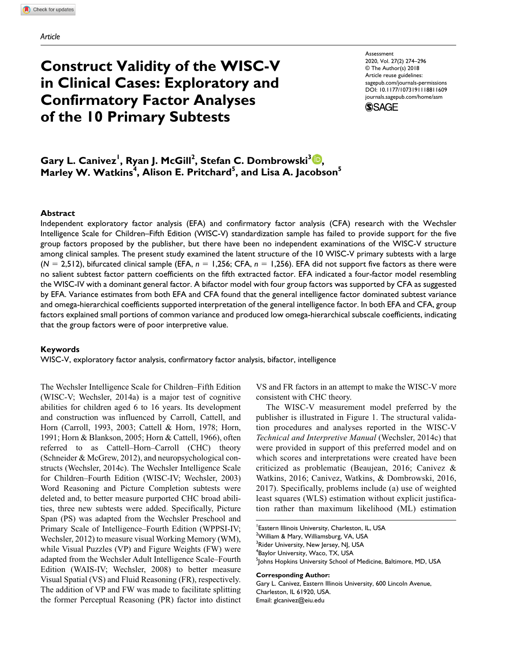# **Construct Validity of the WISC-V in Clinical Cases: Exploratory and Confirmatory Factor Analyses of the 10 Primary Subtests**

https://doi.org/10.1177/1073191118811609 DOI: 10.1177/1073191118811609 **Assessment** 2020, Vol. 27(2) 274–296 © The Author(s) 2018 Article reuse guidelines: [sagepub.com/journals-permissions](https://us.sagepub.com/en-us/journals-permissions) [journals.sagepub.com/home/asm](https://journals.sagepub.com/home/asm
)



 $\boldsymbol{\mathsf{Gary}}$  L. Canivez<sup>1</sup>, Ryan J. McGill<sup>2</sup>, Stefan C. Dombrowski $^3\boldsymbol{\mathbb{D}},$ Marley W. Watkins<sup>4</sup>, Alison E. Pritchard<sup>5</sup>, and Lisa A. Jacobson<sup>5</sup>

## **Abstract**

Independent exploratory factor analysis (EFA) and confirmatory factor analysis (CFA) research with the Wechsler Intelligence Scale for Children–Fifth Edition (WISC-V) standardization sample has failed to provide support for the five group factors proposed by the publisher, but there have been no independent examinations of the WISC-V structure among clinical samples. The present study examined the latent structure of the 10 WISC-V primary subtests with a large (*N* = 2,512), bifurcated clinical sample (EFA, *n* = 1,256; CFA, *n* = 1,256). EFA did not support five factors as there were no salient subtest factor pattern coefficients on the fifth extracted factor. EFA indicated a four-factor model resembling the WISC-IV with a dominant general factor. A bifactor model with four group factors was supported by CFA as suggested by EFA. Variance estimates from both EFA and CFA found that the general intelligence factor dominated subtest variance and omega-hierarchical coefficients supported interpretation of the general intelligence factor. In both EFA and CFA, group factors explained small portions of common variance and produced low omega-hierarchical subscale coefficients, indicating that the group factors were of poor interpretive value.

#### **Keywords**

WISC-V, exploratory factor analysis, confirmatory factor analysis, bifactor, intelligence

The Wechsler Intelligence Scale for Children–Fifth Edition (WISC-V; Wechsler, 2014a) is a major test of cognitive abilities for children aged 6 to 16 years. Its development and construction was influenced by Carroll, Cattell, and Horn (Carroll, 1993, 2003; Cattell & Horn, 1978; Horn, 1991; Horn & Blankson, 2005; Horn & Cattell, 1966), often referred to as Cattell–Horn–Carroll (CHC) theory (Schneider & McGrew, 2012), and neuropsychological constructs (Wechsler, 2014c). The Wechsler Intelligence Scale for Children–Fourth Edition (WISC-IV; Wechsler, 2003) Word Reasoning and Picture Completion subtests were deleted and, to better measure purported CHC broad abilities, three new subtests were added. Specifically, Picture Span (PS) was adapted from the Wechsler Preschool and Primary Scale of Intelligence–Fourth Edition (WPPSI-IV; Wechsler, 2012) to measure visual Working Memory (WM), while Visual Puzzles (VP) and Figure Weights (FW) were adapted from the Wechsler Adult Intelligence Scale–Fourth Edition (WAIS-IV; Wechsler, 2008) to better measure Visual Spatial (VS) and Fluid Reasoning (FR), respectively. The addition of VP and FW was made to facilitate splitting the former Perceptual Reasoning (PR) factor into distinct

VS and FR factors in an attempt to make the WISC-V more consistent with CHC theory.

The WISC-V measurement model preferred by the publisher is illustrated in Figure 1. The structural validation procedures and analyses reported in the WISC-V *Technical and Interpretive Manual* (Wechsler, 2014c) that were provided in support of this preferred model and on which scores and interpretations were created have been criticized as problematic (Beaujean, 2016; Canivez & Watkins, 2016; Canivez, Watkins, & Dombrowski, 2016, 2017). Specifically, problems include (a) use of weighted least squares (WLS) estimation without explicit justification rather than maximum likelihood (ML) estimation

**Corresponding Author:**

Gary L. Canivez, Eastern Illinois University, 600 Lincoln Avenue, Charleston, IL 61920, USA. Email: [glcanivez@eiu.edu](mailto:glcanivez@eiu.edu)

<sup>1</sup> Eastern Illinois University, Charleston, IL, USA <sup>2</sup>William & Mary, Williamsburg, VA, USA <sup>3</sup>Rider University, New Jersey, NJ, USA 4 Baylor University, Waco, TX, USA 5 Johns Hopkins University School of Medicine, Baltimore, MD, USA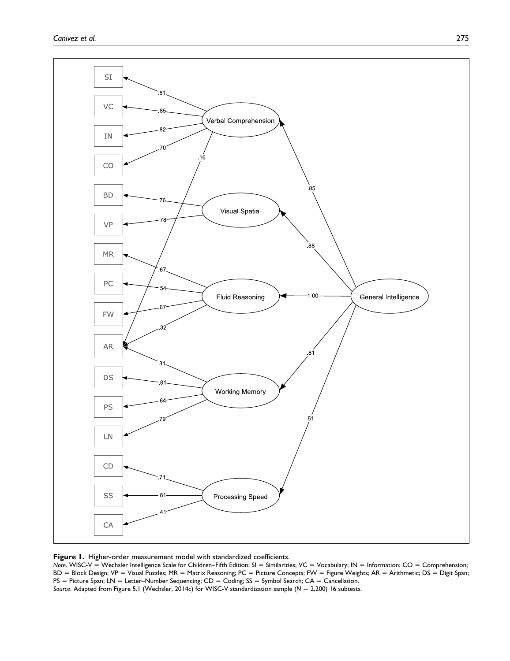



*Note.* WISC-V = Wechsler Intelligence Scale for Children–Fifth Edition; SI = Similarities; VC = Vocabulary; IN = Information; CO = Comprehension; BD = Block Design; VP = Visual Puzzles; MR = Matrix Reasoning; PC = Picture Concepts; FW = Figure Weights; AR = Arithmetic; DS = Digit Span; PS = Picture Span; LN = Letter-Number Sequencing; CD = Coding; SS = Symbol Search; CA = Cancellation. *Source*. Adapted from Figure 5.1 (Wechsler, 2014c) for WISC-V standardization sample (*N* = 2,200) 16 subtests.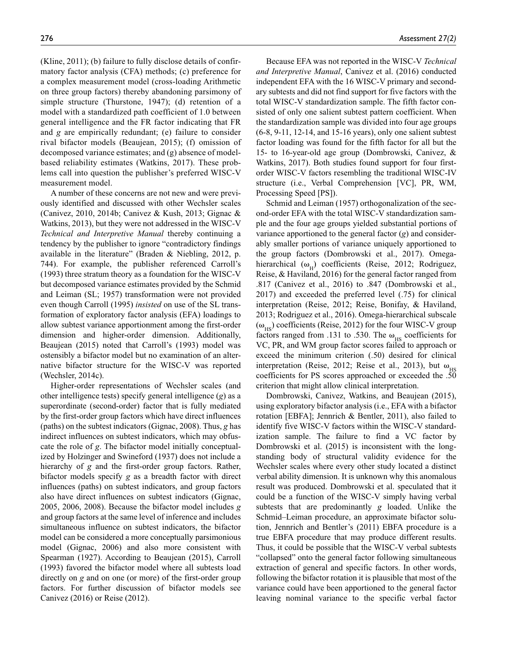(Kline, 2011); (b) failure to fully disclose details of confirmatory factor analysis (CFA) methods; (c) preference for a complex measurement model (cross-loading Arithmetic on three group factors) thereby abandoning parsimony of simple structure (Thurstone, 1947); (d) retention of a model with a standardized path coefficient of 1.0 between general intelligence and the FR factor indicating that FR and *g* are empirically redundant; (e) failure to consider rival bifactor models (Beaujean, 2015); (f) omission of decomposed variance estimates; and (g) absence of modelbased reliability estimates (Watkins, 2017). These problems call into question the publisher's preferred WISC-V measurement model.

A number of these concerns are not new and were previously identified and discussed with other Wechsler scales (Canivez, 2010, 2014b; Canivez & Kush, 2013; Gignac & Watkins, 2013), but they were not addressed in the WISC-V *Technical and Interpretive Manual* thereby continuing a tendency by the publisher to ignore "contradictory findings available in the literature" (Braden & Niebling, 2012, p. 744). For example, the publisher referenced Carroll's (1993) three stratum theory as a foundation for the WISC-V but decomposed variance estimates provided by the Schmid and Leiman (SL; 1957) transformation were not provided even though Carroll (1995) *insisted* on use of the SL transformation of exploratory factor analysis (EFA) loadings to allow subtest variance apportionment among the first-order dimension and higher-order dimension. Additionally, Beaujean (2015) noted that Carroll's (1993) model was ostensibly a bifactor model but no examination of an alternative bifactor structure for the WISC-V was reported (Wechsler, 2014c).

Higher-order representations of Wechsler scales (and other intelligence tests) specify general intelligence (*g*) as a superordinate (second-order) factor that is fully mediated by the first-order group factors which have direct influences (paths) on the subtest indicators (Gignac, 2008). Thus, *g* has indirect influences on subtest indicators, which may obfuscate the role of *g*. The bifactor model initially conceptualized by Holzinger and Swineford (1937) does not include a hierarchy of *g* and the first-order group factors. Rather, bifactor models specify *g* as a breadth factor with direct influences (paths) on subtest indicators, and group factors also have direct influences on subtest indicators (Gignac, 2005, 2006, 2008). Because the bifactor model includes *g* and group factors at the same level of inference and includes simultaneous influence on subtest indicators, the bifactor model can be considered a more conceptually parsimonious model (Gignac, 2006) and also more consistent with Spearman (1927). According to Beaujean (2015), Carroll (1993) favored the bifactor model where all subtests load directly on *g* and on one (or more) of the first-order group factors. For further discussion of bifactor models see Canivez (2016) or Reise (2012).

276 *Assessment 27(2)*

Because EFA was not reported in the WISC-V *Technical and Interpretive Manual*, Canivez et al. (2016) conducted independent EFA with the 16 WISC-V primary and secondary subtests and did not find support for five factors with the total WISC-V standardization sample. The fifth factor consisted of only one salient subtest pattern coefficient. When the standardization sample was divided into four age groups (6-8, 9-11, 12-14, and 15-16 years), only one salient subtest factor loading was found for the fifth factor for all but the 15- to 16-year-old age group (Dombrowski, Canivez, & Watkins, 2017). Both studies found support for four firstorder WISC-V factors resembling the traditional WISC-IV structure (i.e., Verbal Comprehension [VC], PR, WM, Processing Speed [PS]).

Schmid and Leiman (1957) orthogonalization of the second-order EFA with the total WISC-V standardization sample and the four age groups yielded substantial portions of variance apportioned to the general factor (*g*) and considerably smaller portions of variance uniquely apportioned to the group factors (Dombrowski et al., 2017). Omegahierarchical ( $\omega_{\rm H}$ ) coefficients (Reise, 2012; Rodriguez, Reise, & Haviland, 2016) for the general factor ranged from .817 (Canivez et al., 2016) to .847 (Dombrowski et al., 2017) and exceeded the preferred level (.75) for clinical interpretation (Reise, 2012; Reise, Bonifay, & Haviland, 2013; Rodriguez et al., 2016). Omega-hierarchical subscale  $(\omega_{\text{res}})$  coefficients (Reise, 2012) for the four WISC-V group factors ranged from .131 to .530. The  $\omega_{_{\rm HS}}$  coefficients for VC, PR, and WM group factor scores failed to approach or exceed the minimum criterion (.50) desired for clinical interpretation (Reise, 2012; Reise et al., 2013), but  $\omega_{\text{HS}}$ coefficients for PS scores approached or exceeded the .50 criterion that might allow clinical interpretation.

Dombrowski, Canivez, Watkins, and Beaujean (2015), using exploratory bifactor analysis (i.e., EFA with a bifactor rotation [EBFA]; Jennrich & Bentler, 2011), also failed to identify five WISC-V factors within the WISC-V standardization sample. The failure to find a VC factor by Dombrowski et al. (2015) is inconsistent with the longstanding body of structural validity evidence for the Wechsler scales where every other study located a distinct verbal ability dimension. It is unknown why this anomalous result was produced. Dombrowski et al. speculated that it could be a function of the WISC-V simply having verbal subtests that are predominantly *g* loaded. Unlike the Schmid–Leiman procedure, an approximate bifactor solution, Jennrich and Bentler's (2011) EBFA procedure is a true EBFA procedure that may produce different results. Thus, it could be possible that the WISC-V verbal subtests "collapsed" onto the general factor following simultaneous extraction of general and specific factors. In other words, following the bifactor rotation it is plausible that most of the variance could have been apportioned to the general factor leaving nominal variance to the specific verbal factor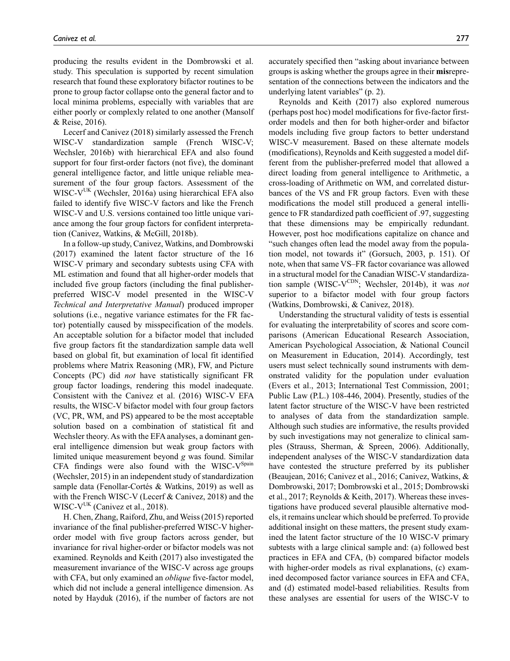producing the results evident in the Dombrowski et al. study. This speculation is supported by recent simulation research that found these exploratory bifactor routines to be prone to group factor collapse onto the general factor and to local minima problems, especially with variables that are either poorly or complexly related to one another (Mansolf & Reise, 2016).

Lecerf and Canivez (2018) similarly assessed the French WISC-V standardization sample (French WISC-V; Wechsler, 2016b) with hierarchical EFA and also found support for four first-order factors (not five), the dominant general intelligence factor, and little unique reliable measurement of the four group factors. Assessment of the  $WISC-V<sup>UK</sup>$  (Wechsler, 2016a) using hierarchical EFA also failed to identify five WISC-V factors and like the French WISC-V and U.S. versions contained too little unique variance among the four group factors for confident interpretation (Canivez, Watkins, & McGill, 2018b).

In a follow-up study, Canivez, Watkins, and Dombrowski (2017) examined the latent factor structure of the 16 WISC-V primary and secondary subtests using CFA with ML estimation and found that all higher-order models that included five group factors (including the final publisherpreferred WISC-V model presented in the WISC-V *Technical and Interpretative Manual*) produced improper solutions (i.e., negative variance estimates for the FR factor) potentially caused by misspecification of the models. An acceptable solution for a bifactor model that included five group factors fit the standardization sample data well based on global fit, but examination of local fit identified problems where Matrix Reasoning (MR), FW, and Picture Concepts (PC) did *not* have statistically significant FR group factor loadings, rendering this model inadequate. Consistent with the Canivez et al. (2016) WISC-V EFA results, the WISC-V bifactor model with four group factors (VC, PR, WM, and PS) appeared to be the most acceptable solution based on a combination of statistical fit and Wechsler theory. As with the EFA analyses, a dominant general intelligence dimension but weak group factors with limited unique measurement beyond *g* was found. Similar CFA findings were also found with the WISC- $V^{Spin}$ (Wechsler, 2015) in an independent study of standardization sample data (Fenollar-Cortés & Watkins, 2019) as well as with the French WISC-V (Lecerf & Canivez, 2018) and the WISC- $V^{UK}$  (Canivez et al., 2018).

H. Chen, Zhang, Raiford, Zhu, and Weiss (2015) reported invariance of the final publisher-preferred WISC-V higherorder model with five group factors across gender, but invariance for rival higher-order or bifactor models was not examined. Reynolds and Keith (2017) also investigated the measurement invariance of the WISC-V across age groups with CFA, but only examined an *oblique* five-factor model, which did not include a general intelligence dimension. As noted by Hayduk (2016), if the number of factors are not accurately specified then "asking about invariance between groups is asking whether the groups agree in their **mis**representation of the connections between the indicators and the underlying latent variables" (p. 2).

Reynolds and Keith (2017) also explored numerous (perhaps post hoc) model modifications for five-factor firstorder models and then for both higher-order and bifactor models including five group factors to better understand WISC-V measurement. Based on these alternate models (modifications), Reynolds and Keith suggested a model different from the publisher-preferred model that allowed a direct loading from general intelligence to Arithmetic, a cross-loading of Arithmetic on WM, and correlated disturbances of the VS and FR group factors. Even with these modifications the model still produced a general intelligence to FR standardized path coefficient of .97, suggesting that these dimensions may be empirically redundant. However, post hoc modifications capitalize on chance and "such changes often lead the model away from the population model, not towards it" (Gorsuch, 2003, p. 151). Of note, when that same VS–FR factor covariance was allowed in a structural model for the Canadian WISC-V standardization sample (WISC-V<sup>CDN</sup>; Wechsler, 2014b), it was *not* superior to a bifactor model with four group factors (Watkins, Dombrowski, & Canivez, 2018).

Understanding the structural validity of tests is essential for evaluating the interpretability of scores and score comparisons (American Educational Research Association, American Psychological Association, & National Council on Measurement in Education, 2014). Accordingly, test users must select technically sound instruments with demonstrated validity for the population under evaluation (Evers et al., 2013; International Test Commission, 2001; Public Law (P.L.) 108-446, 2004). Presently, studies of the latent factor structure of the WISC-V have been restricted to analyses of data from the standardization sample. Although such studies are informative, the results provided by such investigations may not generalize to clinical samples (Strauss, Sherman, & Spreen, 2006). Additionally, independent analyses of the WISC-V standardization data have contested the structure preferred by its publisher (Beaujean, 2016; Canivez et al., 2016; Canivez, Watkins, & Dombrowski, 2017; Dombrowski et al., 2015; Dombrowski et al., 2017; Reynolds & Keith, 2017). Whereas these investigations have produced several plausible alternative models, it remains unclear which should be preferred. To provide additional insight on these matters, the present study examined the latent factor structure of the 10 WISC-V primary subtests with a large clinical sample and: (a) followed best practices in EFA and CFA, (b) compared bifactor models with higher-order models as rival explanations, (c) examined decomposed factor variance sources in EFA and CFA, and (d) estimated model-based reliabilities. Results from these analyses are essential for users of the WISC-V to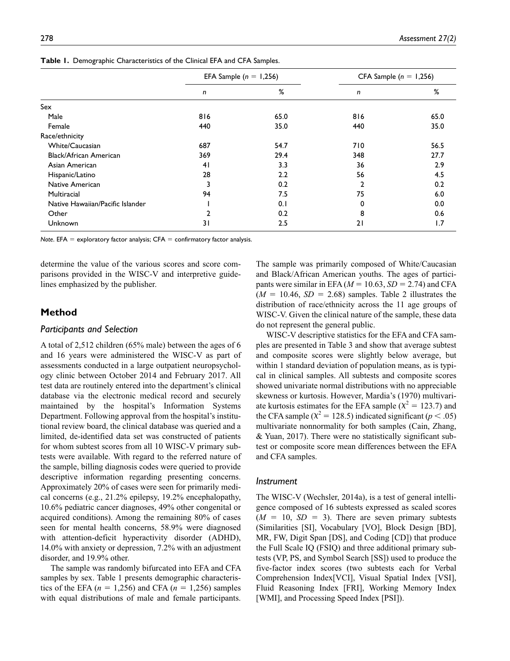|                                  | EFA Sample ( $n = 1,256$ ) |      | CFA Sample ( $n = 1,256$ ) |      |  |  |
|----------------------------------|----------------------------|------|----------------------------|------|--|--|
|                                  | n                          | $\%$ | n                          | %    |  |  |
| Sex                              |                            |      |                            |      |  |  |
| Male                             | 816                        | 65.0 | 816                        | 65.0 |  |  |
| Female                           | 440                        | 35.0 | 440                        | 35.0 |  |  |
| Race/ethnicity                   |                            |      |                            |      |  |  |
| White/Caucasian                  | 687                        | 54.7 | 710                        | 56.5 |  |  |
| Black/African American           | 369                        | 29.4 | 348                        | 27.7 |  |  |
| Asian American                   | 41                         | 3.3  | 36                         | 2.9  |  |  |
| Hispanic/Latino                  | 28                         | 2.2  | 56                         | 4.5  |  |  |
| Native American                  |                            | 0.2  | 2                          | 0.2  |  |  |
| Multiracial                      | 94                         | 7.5  | 75                         | 6.0  |  |  |
| Native Hawaiian/Pacific Islander |                            | 0.1  | 0                          | 0.0  |  |  |
| Other                            | 2                          | 0.2  | 8                          | 0.6  |  |  |
| Unknown                          | 31                         | 2.5  | 21                         | 1.7  |  |  |

**Table 1.** Demographic Characteristics of the Clinical EFA and CFA Samples.

*Note*. EFA = exploratory factor analysis; CFA = confirmatory factor analysis.

determine the value of the various scores and score comparisons provided in the WISC-V and interpretive guidelines emphasized by the publisher.

## **Method**

#### *Participants and Selection*

A total of 2,512 children (65% male) between the ages of 6 and 16 years were administered the WISC-V as part of assessments conducted in a large outpatient neuropsychology clinic between October 2014 and February 2017. All test data are routinely entered into the department's clinical database via the electronic medical record and securely maintained by the hospital's Information Systems Department. Following approval from the hospital's institutional review board, the clinical database was queried and a limited, de-identified data set was constructed of patients for whom subtest scores from all 10 WISC-V primary subtests were available. With regard to the referred nature of the sample, billing diagnosis codes were queried to provide descriptive information regarding presenting concerns. Approximately 20% of cases were seen for primarily medical concerns (e.g., 21.2% epilepsy, 19.2% encephalopathy, 10.6% pediatric cancer diagnoses, 49% other congenital or acquired conditions). Among the remaining 80% of cases seen for mental health concerns, 58.9% were diagnosed with attention-deficit hyperactivity disorder (ADHD), 14.0% with anxiety or depression, 7.2% with an adjustment disorder, and 19.9% other.

The sample was randomly bifurcated into EFA and CFA samples by sex. Table 1 presents demographic characteristics of the EFA  $(n = 1,256)$  and CFA  $(n = 1,256)$  samples with equal distributions of male and female participants.

The sample was primarily composed of White/Caucasian and Black/African American youths. The ages of participants were similar in EFA ( $M = 10.63$ ,  $SD = 2.74$ ) and CFA  $(M = 10.46, SD = 2.68)$  samples. Table 2 illustrates the distribution of race/ethnicity across the 11 age groups of WISC-V. Given the clinical nature of the sample, these data do not represent the general public.

WISC-V descriptive statistics for the EFA and CFA samples are presented in Table 3 and show that average subtest and composite scores were slightly below average, but within 1 standard deviation of population means, as is typical in clinical samples. All subtests and composite scores showed univariate normal distributions with no appreciable skewness or kurtosis. However, Mardia's (1970) multivariate kurtosis estimates for the EFA sample ( $\chi^2 = 123.7$ ) and the CFA sample ( $\chi^2$  = 128.5) indicated significant ( $p < .05$ ) multivariate nonnormality for both samples (Cain, Zhang, & Yuan, 2017). There were no statistically significant subtest or composite score mean differences between the EFA and CFA samples.

## *Instrument*

The WISC-V (Wechsler, 2014a), is a test of general intelligence composed of 16 subtests expressed as scaled scores  $(M = 10, SD = 3)$ . There are seven primary subtests (Similarities [SI], Vocabulary [VO], Block Design [BD], MR, FW, Digit Span [DS], and Coding [CD]) that produce the Full Scale IQ (FSIQ) and three additional primary subtests (VP, PS, and Symbol Search [SS]) used to produce the five-factor index scores (two subtests each for Verbal Comprehension Index[VCI], Visual Spatial Index [VSI], Fluid Reasoning Index [FRI], Working Memory Index [WMI], and Processing Speed Index [PSI]).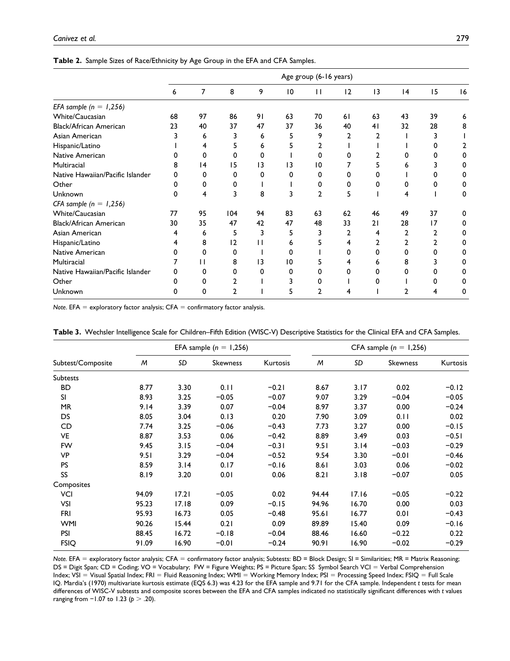**Table 2.** Sample Sizes of Race/Ethnicity by Age Group in the EFA and CFA Samples.

|                                  |    |    |                |          |                 | Age group (6-16 years) |    |    |    |    |    |
|----------------------------------|----|----|----------------|----------|-----------------|------------------------|----|----|----|----|----|
|                                  | 6  | 7  | 8              | 9        | $\overline{10}$ | $\mathbf{1}$           | 12 | 3  | 4  | 15 | 16 |
| EFA sample ( $n = 1,256$ )       |    |    |                |          |                 |                        |    |    |    |    |    |
| White/Caucasian                  | 68 | 97 | 86             | 91       | 63              | 70                     | 61 | 63 | 43 | 39 |    |
| Black/African American           | 23 | 40 | 37             | 47       | 37              | 36                     | 40 | 41 | 32 | 28 | 8  |
| Asian American                   |    | 6  | 3              | 6        | 5               | 9                      |    | 2  |    |    |    |
| Hispanic/Latino                  |    |    | 5.             | 6        | 5               | 2                      |    |    |    |    |    |
| Native American                  |    | 0  | O              | 0        |                 | n                      | O  |    |    |    |    |
| Multiracial                      | 8  | 14 | 15             | 13       | $\overline{13}$ | 10                     |    |    |    |    |    |
| Native Hawaiian/Pacific Islander | O  | 0  | O              | $\Omega$ | O               | O                      |    | O  |    |    |    |
| Other                            | o  | 0  |                |          |                 | 0                      | 0  | 0  |    |    |    |
| Unknown                          | O  | 4  | 3              | 8        | 3               | $\overline{2}$         | 5  |    |    |    | 0  |
| CFA sample ( $n = 1,256$ )       |    |    |                |          |                 |                        |    |    |    |    |    |
| White/Caucasian                  | 77 | 95 | 104            | 94       | 83              | 63                     | 62 | 46 | 49 | 37 | O  |
| Black/African American           | 30 | 35 | 47             | 42       | 47              | 48                     | 33 | 21 | 28 | 17 |    |
| Asian American                   | 4  | 6  | 5              | 3        | 5               | 3                      | 2  | 4  |    | 2  | 0  |
| Hispanic/Latino                  | 4  | 8  | $\overline{2}$ | п        | 6               |                        | 4  | 2  |    | 2  |    |
| Native American                  | 0  | 0  | 0              |          | 0               |                        | 0  | 0  |    | 0  |    |
| Multiracial                      |    | П  | 8              | 13       | 10              |                        | 4  | 6  | 8  |    |    |
| Native Hawaiian/Pacific Islander |    | 0  | 0              | ŋ        | 0               |                        | 0  | O  |    | 0  |    |
| Other                            |    | 0  |                |          |                 |                        |    | o  |    |    |    |
| Unknown                          |    | O  |                |          | 5               |                        |    |    |    |    |    |

*Note*. EFA = exploratory factor analysis; CFA = confirmatory factor analysis.

|                   |       |       | EFA sample $(n = 1,256)$ |          | CFA sample $(n = 1,256)$ |       |                 |          |  |  |
|-------------------|-------|-------|--------------------------|----------|--------------------------|-------|-----------------|----------|--|--|
| Subtest/Composite | M     | SD    | Skewness                 | Kurtosis | M                        | SD    | <b>Skewness</b> | Kurtosis |  |  |
| Subtests          |       |       |                          |          |                          |       |                 |          |  |  |
| <b>BD</b>         | 8.77  | 3.30  | 0.11                     | $-0.21$  | 8.67                     | 3.17  | 0.02            | $-0.12$  |  |  |
| SI                | 8.93  | 3.25  | $-0.05$                  | $-0.07$  | 9.07                     | 3.29  | $-0.04$         | $-0.05$  |  |  |
| MR                | 9.14  | 3.39  | 0.07                     | $-0.04$  | 8.97                     | 3.37  | 0.00            | $-0.24$  |  |  |
| DS                | 8.05  | 3.04  | 0.13                     | 0.20     | 7.90                     | 3.09  | 0.11            | 0.02     |  |  |
| CD                | 7.74  | 3.25  | $-0.06$                  | $-0.43$  | 7.73                     | 3.27  | 0.00            | $-0.15$  |  |  |
| VE                | 8.87  | 3.53  | 0.06                     | $-0.42$  | 8.89                     | 3.49  | 0.03            | $-0.51$  |  |  |
| <b>FW</b>         | 9.45  | 3.15  | $-0.04$                  | $-0.31$  | 9.51                     | 3.14  | $-0.03$         | $-0.29$  |  |  |
| <b>VP</b>         | 9.51  | 3.29  | $-0.04$                  | $-0.52$  | 9.54                     | 3.30  | $-0.01$         | $-0.46$  |  |  |
| <b>PS</b>         | 8.59  | 3.14  | 0.17                     | $-0.16$  | 8.61                     | 3.03  | 0.06            | $-0.02$  |  |  |
| SS                | 8.19  | 3.20  | 0.01                     | 0.06     | 8.21                     | 3.18  | $-0.07$         | 0.05     |  |  |
| Composites        |       |       |                          |          |                          |       |                 |          |  |  |
| VCI               | 94.09 | 17.21 | $-0.05$                  | 0.02     | 94.44                    | 17.16 | $-0.05$         | $-0.22$  |  |  |
| <b>VSI</b>        | 95.23 | 17.18 | 0.09                     | $-0.15$  | 94.96                    | 16.70 | 0.00            | 0.03     |  |  |
| <b>FRI</b>        | 95.93 | 16.73 | 0.05                     | $-0.48$  | 95.61                    | 16.77 | 0.01            | $-0.43$  |  |  |
| <b>WMI</b>        | 90.26 | 15.44 | 0.21                     | 0.09     | 89.89                    | 15.40 | 0.09            | $-0.16$  |  |  |
| <b>PSI</b>        | 88.45 | 16.72 | $-0.18$                  | $-0.04$  | 88.46                    | 16.60 | $-0.22$         | 0.22     |  |  |
| <b>FSIQ</b>       | 91.09 | 16.90 | $-0.01$                  | $-0.24$  | 90.91                    | 16.90 | $-0.02$         | $-0.29$  |  |  |

**Table 3.** Wechsler Intelligence Scale for Children–Fifth Edition (WISC-V) Descriptive Statistics for the Clinical EFA and CFA Samples.

*Note.* EFA = exploratory factor analysis; CFA = confirmatory factor analysis; Subtests: BD = Block Design; SI = Similarities; MR = Matrix Reasoning; DS = Digit Span; CD = Coding; VO = Vocabulary; FW = Figure Weights; PS = Picture Span; SS Symbol Search VCI = Verbal Comprehension Index; VSI = Visual Spatial Index; FRI = Fluid Reasoning Index; WMI = Working Memory Index; PSI = Processing Speed Index; FSIQ = Full Scale IQ. Mardia's (1970) multivariate kurtosis estimate (EQS 6.3) was 4.23 for the EFA sample and 9.71 for the CFA sample. Independent *t* tests for mean differences of WISC-V subtests and composite scores between the EFA and CFA samples indicated no statistically significant differences with *t* values ranging from −1.07 to 1.23 (*p* > .20).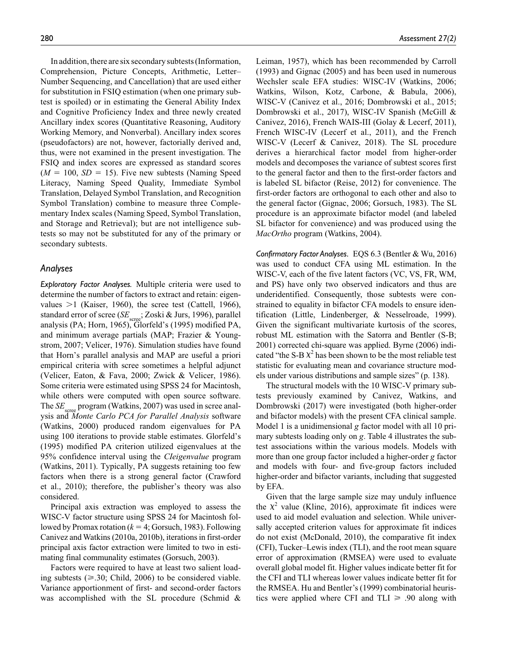In addition, there are six secondary subtests (Information, Comprehension, Picture Concepts, Arithmetic, Letter– Number Sequencing, and Cancellation) that are used either for substitution in FSIQ estimation (when one primary subtest is spoiled) or in estimating the General Ability Index and Cognitive Proficiency Index and three newly created Ancillary index scores (Quantitative Reasoning, Auditory Working Memory, and Nonverbal). Ancillary index scores (pseudofactors) are not, however, factorially derived and, thus, were not examined in the present investigation. The FSIQ and index scores are expressed as standard scores  $(M = 100, SD = 15)$ . Five new subtests (Naming Speed Literacy, Naming Speed Quality, Immediate Symbol Translation, Delayed Symbol Translation, and Recognition Symbol Translation) combine to measure three Complementary Index scales (Naming Speed, Symbol Translation, and Storage and Retrieval); but are not intelligence subtests so may not be substituted for any of the primary or secondary subtests.

## *Analyses*

*Exploratory Factor Analyses.* Multiple criteria were used to determine the number of factors to extract and retain: eigenvalues  $>1$  (Kaiser, 1960), the scree test (Cattell, 1966), standard error of scree (*SE*); Zoski & Jurs, 1996), parallel analysis (PA; Horn, 1965), Glorfeld's (1995) modified PA, and minimum average partials (MAP; Frazier & Youngstrom, 2007; Velicer, 1976). Simulation studies have found that Horn's parallel analysis and MAP are useful a priori empirical criteria with scree sometimes a helpful adjunct (Velicer, Eaton, & Fava, 2000; Zwick & Velicer, 1986). Some criteria were estimated using SPSS 24 for Macintosh, while others were computed with open source software. The *SE*<sub>scree</sub> program (Watkins, 2007) was used in scree analysis and *Monte Carlo PCA for Parallel Analysis* software (Watkins, 2000) produced random eigenvalues for PA using 100 iterations to provide stable estimates. Glorfeld's (1995) modified PA criterion utilized eigenvalues at the 95% confidence interval using the *CIeigenvalue* program (Watkins, 2011). Typically, PA suggests retaining too few factors when there is a strong general factor (Crawford et al., 2010); therefore, the publisher's theory was also considered.

Principal axis extraction was employed to assess the WISC-V factor structure using SPSS 24 for Macintosh followed by Promax rotation ( $k = 4$ ; Gorsuch, 1983). Following Canivez and Watkins (2010a, 2010b), iterations in first-order principal axis factor extraction were limited to two in estimating final communality estimates (Gorsuch, 2003).

Factors were required to have at least two salient loading subtests ( $\geq$ .30; Child, 2006) to be considered viable. Variance apportionment of first- and second-order factors was accomplished with the SL procedure (Schmid &

Leiman, 1957), which has been recommended by Carroll (1993) and Gignac (2005) and has been used in numerous Wechsler scale EFA studies: WISC-IV (Watkins, 2006; Watkins, Wilson, Kotz, Carbone, & Babula, 2006), WISC-V (Canivez et al., 2016; Dombrowski et al., 2015; Dombrowski et al., 2017), WISC-IV Spanish (McGill & Canivez, 2016), French WAIS-III (Golay & Lecerf, 2011), French WISC-IV (Lecerf et al., 2011), and the French WISC-V (Lecerf & Canivez, 2018). The SL procedure derives a hierarchical factor model from higher-order models and decomposes the variance of subtest scores first to the general factor and then to the first-order factors and is labeled SL bifactor (Reise, 2012) for convenience. The first-order factors are orthogonal to each other and also to the general factor (Gignac, 2006; Gorsuch, 1983). The SL procedure is an approximate bifactor model (and labeled SL bifactor for convenience) and was produced using the *MacOrtho* program (Watkins, 2004).

*Confirmatory Factor Analyses.* EQS 6.3 (Bentler & Wu, 2016) was used to conduct CFA using ML estimation. In the WISC-V, each of the five latent factors (VC, VS, FR, WM, and PS) have only two observed indicators and thus are underidentified. Consequently, those subtests were constrained to equality in bifactor CFA models to ensure identification (Little, Lindenberger, & Nesselroade, 1999). Given the significant multivariate kurtosis of the scores, robust ML estimation with the Satorra and Bentler (S-B; 2001) corrected chi-square was applied. Byrne (2006) indicated "the S-B  $\chi^2$  has been shown to be the most reliable test statistic for evaluating mean and covariance structure models under various distributions and sample sizes" (p. 138).

The structural models with the 10 WISC-V primary subtests previously examined by Canivez, Watkins, and Dombrowski (2017) were investigated (both higher-order and bifactor models) with the present CFA clinical sample. Model 1 is a unidimensional *g* factor model with all 10 primary subtests loading only on *g*. Table 4 illustrates the subtest associations within the various models. Models with more than one group factor included a higher-order *g* factor and models with four- and five-group factors included higher-order and bifactor variants, including that suggested by EFA.

Given that the large sample size may unduly influence the  $\chi^2$  value (Kline, 2016), approximate fit indices were used to aid model evaluation and selection. While universally accepted criterion values for approximate fit indices do not exist (McDonald, 2010), the comparative fit index (CFI), Tucker–Lewis index (TLI), and the root mean square error of approximation (RMSEA) were used to evaluate overall global model fit. Higher values indicate better fit for the CFI and TLI whereas lower values indicate better fit for the RMSEA. Hu and Bentler's (1999) combinatorial heuristics were applied where CFI and TLI  $\geq$  .90 along with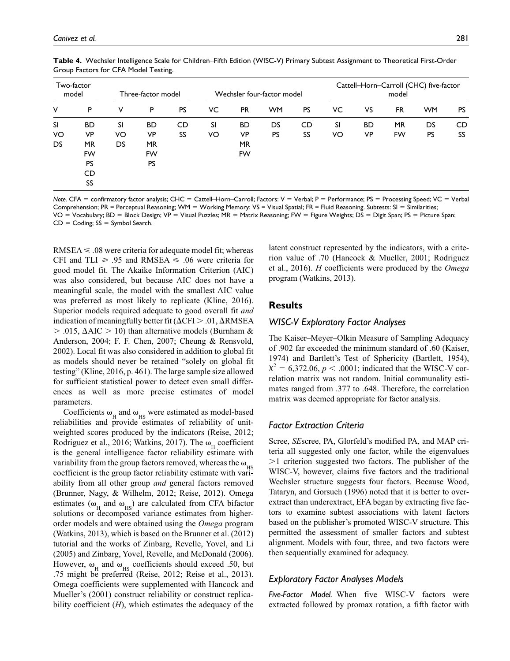|     | Two-factor<br>model |    | Three-factor model |           | Wechsler four-factor model |           |           |           |     | Cattell-Horn-Carroll (CHC) five-factor<br>model |           |           |           |  |
|-----|---------------------|----|--------------------|-----------|----------------------------|-----------|-----------|-----------|-----|-------------------------------------------------|-----------|-----------|-----------|--|
| ٧   | P                   | ٧  | P                  | <b>PS</b> | VC                         | <b>PR</b> | <b>WM</b> | <b>PS</b> | VC. | VS                                              | <b>FR</b> | <b>WM</b> | <b>PS</b> |  |
| SI  | <b>BD</b>           | SI | <b>BD</b>          | CD        | SI                         | <b>BD</b> | DS        | CD        | SI  | <b>BD</b>                                       | <b>MR</b> | DS        | CD        |  |
| VO  | <b>VP</b>           | VO | <b>VP</b>          | SS        | VO                         | VP        | <b>PS</b> | SS        | VO  | VP                                              | FW        | <b>PS</b> | SS        |  |
| DS. | <b>MR</b>           | DS | <b>MR</b>          |           |                            | <b>MR</b> |           |           |     |                                                 |           |           |           |  |
|     | FW                  |    | <b>FW</b>          |           |                            | <b>FW</b> |           |           |     |                                                 |           |           |           |  |
|     | <b>PS</b>           |    | PS                 |           |                            |           |           |           |     |                                                 |           |           |           |  |
|     | CD                  |    |                    |           |                            |           |           |           |     |                                                 |           |           |           |  |
|     | SS                  |    |                    |           |                            |           |           |           |     |                                                 |           |           |           |  |

**Table 4.** Wechsler Intelligence Scale for Children–Fifth Edition (WISC-V) Primary Subtest Assignment to Theoretical First-Order Group Factors for CFA Model Testing.

*Note.* CFA = confirmatory factor analysis; CHC = Cattell–Horn–Carroll; Factors: V = Verbal; P = Performance; PS = Processing Speed; VC = Verbal Comprehension; PR = Perceptual Reasoning; WM = Working Memory; VS = Visual Spatial; FR = Fluid Reasoning. Subtests: SI = Similarities; VO = Vocabulary; BD = Block Design; VP = Visual Puzzles; MR = Matrix Reasoning; FW = Figure Weights; DS = Digit Span; PS = Picture Span;  $CD =$  Coding;  $SS =$  Symbol Search.

RMSEA  $\leq$  .08 were criteria for adequate model fit; whereas CFI and TLI  $\geq$  .95 and RMSEA  $\leq$  .06 were criteria for good model fit. The Akaike Information Criterion (AIC) was also considered, but because AIC does not have a meaningful scale, the model with the smallest AIC value was preferred as most likely to replicate (Kline, 2016). Superior models required adequate to good overall fit *and* indication of meaningfully better fit ( $\Delta$ CFI > .01,  $\Delta$ RMSEA  $>$  .015,  $\Delta AIC > 10$ ) than alternative models (Burnham & Anderson, 2004; F. F. Chen, 2007; Cheung & Rensvold, 2002). Local fit was also considered in addition to global fit as models should never be retained "solely on global fit testing" (Kline, 2016, p. 461). The large sample size allowed for sufficient statistical power to detect even small differences as well as more precise estimates of model parameters.

Coefficients  $\omega_{\text{H}}$  and  $\omega_{\text{HS}}$  were estimated as model-based reliabilities and provide estimates of reliability of unitweighted scores produced by the indicators (Reise, 2012; Rodriguez et al., 2016; Watkins, 2017). The  $\omega_{\rm H}$  coefficient is the general intelligence factor reliability estimate with variability from the group factors removed, whereas the  $\omega_{_{\rm HS}}$ coefficient is the group factor reliability estimate with variability from all other group *and* general factors removed (Brunner, Nagy, & Wilhelm, 2012; Reise, 2012). Omega estimates ( $\omega_{\text{H}}$  and  $\omega_{\text{H}}$ ) are calculated from CFA bifactor solutions or decomposed variance estimates from higherorder models and were obtained using the *Omega* program (Watkins, 2013), which is based on the Brunner et al. (2012) tutorial and the works of Zinbarg, Revelle, Yovel, and Li (2005) and Zinbarg, Yovel, Revelle, and McDonald (2006). However,  $\omega_H$  and  $\omega_{HS}$  coefficients should exceed .50, but .75 might be preferred (Reise, 2012; Reise et al., 2013). Omega coefficients were supplemented with Hancock and Mueller's (2001) construct reliability or construct replicability coefficient (*H*), which estimates the adequacy of the

latent construct represented by the indicators, with a criterion value of .70 (Hancock & Mueller, 2001; Rodriguez et al., 2016). *H* coefficients were produced by the *Omega* program (Watkins, 2013).

# **Results**

## *WISC-V Exploratory Factor Analyses*

The Kaiser–Meyer–Olkin Measure of Sampling Adequacy of .902 far exceeded the minimum standard of .60 (Kaiser, 1974) and Bartlett's Test of Sphericity (Bartlett, 1954),  $\chi^2 = 6,372.06, p < .0001$ ; indicated that the WISC-V correlation matrix was not random. Initial communality estimates ranged from .377 to .648. Therefore, the correlation matrix was deemed appropriate for factor analysis.

## *Factor Extraction Criteria*

Scree, *SE*scree, PA, Glorfeld's modified PA, and MAP criteria all suggested only one factor, while the eigenvalues >1 criterion suggested two factors. The publisher of the WISC-V, however, claims five factors and the traditional Wechsler structure suggests four factors. Because Wood, Tataryn, and Gorsuch (1996) noted that it is better to overextract than underextract, EFA began by extracting five factors to examine subtest associations with latent factors based on the publisher's promoted WISC-V structure. This permitted the assessment of smaller factors and subtest alignment. Models with four, three, and two factors were then sequentially examined for adequacy.

## *Exploratory Factor Analyses Models*

*Five-Factor Model.* When five WISC-V factors were extracted followed by promax rotation, a fifth factor with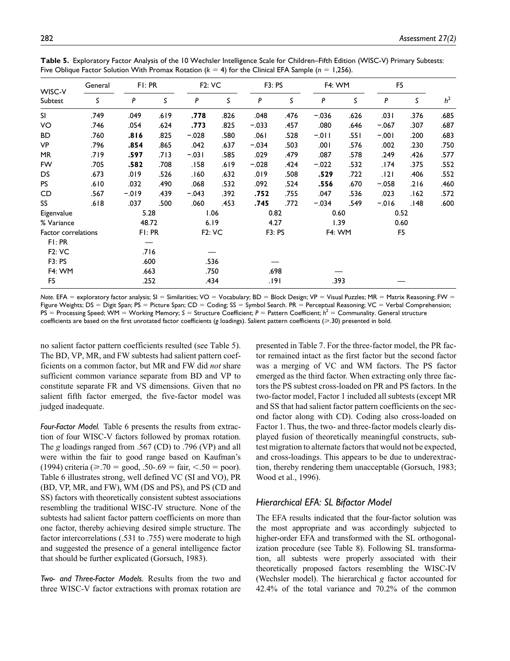|                     | General | FI: PR   |      | <b>F2: VC</b> |      | <b>F3: PS</b> |      | <b>F4: WM</b> |      | F <sub>5</sub> |      |                |
|---------------------|---------|----------|------|---------------|------|---------------|------|---------------|------|----------------|------|----------------|
| WISC-V<br>Subtest   | S       | P        | S    | P             | ς    | P             | S    | P             | S    | P              | S.   | h <sup>2</sup> |
| SI.                 | .749    | .049     | .619 | .778          | .826 | .048          | .476 | $-.036$       | .626 | .031           | .376 | .685           |
| VO                  | .746    | .054     | .624 | .773          | .825 | $-.033$       | .457 | .080          | .646 | $-.067$        | .307 | .687           |
| BD.                 | .760    | .816     | .825 | $-.028$       | .580 | .061          | .528 | $-.011$       | .551 | $-.001$        | .200 | .683           |
| VP                  | .796    | .854     | .865 | .042          | .637 | $-.034$       | .503 | .001          | .576 | .002           | .230 | .750           |
| MR                  | .719    | .597     | .713 | $-.031$       | .585 | .029          | .479 | .087          | .578 | .249           | .426 | .577           |
| <b>FW</b>           | .705    | .582     | .708 | .158          | .619 | $-.028$       | .424 | $-.022$       | .532 | 174.           | .375 | .552           |
| DS.                 | .673    | .019     | .526 | 160.          | .632 | .019          | .508 | .529          | .722 | .121           | .406 | .552           |
| <b>PS</b>           | .610    | .032     | .490 | .068          | .532 | .092          | .524 | .556          | .670 | $-.058$        | .216 | .460           |
| CD                  | .567    | $-0.019$ | .439 | $-.043$       | .392 | .752          | .755 | .047          | .536 | .023           | .162 | .572           |
| SS                  | .618    | .037     | .500 | .060          | .453 | .745          | .772 | $-.034$       | .549 | $-0.016$       | .148 | .600           |
| Eigenvalue          |         | 5.28     |      |               | 1.06 | 0.82          |      | 0.60          |      | 0.52           |      |                |
| % Variance          |         | 48.72    |      | 6.19          |      | 4.27          |      | 1.39          |      | 0.60           |      |                |
| Factor correlations |         | FI: PR   |      | <b>F2: VC</b> |      | F3: PS        |      | <b>F4: WM</b> |      | F <sub>5</sub> |      |                |
| FI: PR              |         |          |      |               |      |               |      |               |      |                |      |                |
| <b>F2: VC</b>       |         | .716     |      |               |      |               |      |               |      |                |      |                |
| F3: PS              |         | .600     |      | .536          |      |               |      |               |      |                |      |                |
| <b>F4: WM</b>       |         | .663     |      | .750          |      | .698          |      |               |      |                |      |                |
| F <sub>5</sub>      |         | .252     |      | .434          |      | .191          |      | .393          |      |                |      |                |

**Table 5.** Exploratory Factor Analysis of the 10 Wechsler Intelligence Scale for Children–Fifth Edition (WISC-V) Primary Subtests: Five Oblique Factor Solution With Promax Rotation (*k* = 4) for the Clinical EFA Sample (*n* = 1,256).

*Note.* EFA = exploratory factor analysis; SI = Similarities; VO = Vocabulary; BD = Block Design; VP = Visual Puzzles; MR = Matrix Reasoning; FW = Figure Weights; DS = Digit Span; PS = Picture Span; CD = Coding; SS = Symbol Search. PR = Perceptual Reasoning; VC = Verbal Comprehension; PS = Processing Speed; WM = Working Memory; S = Structure Coefficient; P = Pattern Coefficient;  $h^2$  = Communality. General structure coefficients are based on the first unrotated factor coefficients (*g* loadings). Salient pattern coefficients (≥.30) presented in bold.

no salient factor pattern coefficients resulted (see Table 5). The BD, VP, MR, and FW subtests had salient pattern coefficients on a common factor, but MR and FW did *not* share sufficient common variance separate from BD and VP to constitute separate FR and VS dimensions. Given that no salient fifth factor emerged, the five-factor model was judged inadequate.

*Four-Factor Model.* Table 6 presents the results from extraction of four WISC-V factors followed by promax rotation. The *g* loadings ranged from .567 (CD) to .796 (VP) and all were within the fair to good range based on Kaufman's (1994) criteria ( $\geq$ .70 = good, .50-.69 = fair, <.50 = poor). Table 6 illustrates strong, well defined VC (SI and VO), PR (BD, VP, MR, and FW), WM (DS and PS), and PS (CD and SS) factors with theoretically consistent subtest associations resembling the traditional WISC-IV structure. None of the subtests had salient factor pattern coefficients on more than one factor, thereby achieving desired simple structure. The factor intercorrelations (.531 to .755) were moderate to high and suggested the presence of a general intelligence factor that should be further explicated (Gorsuch, 1983).

*Two- and Three-Factor Models.* Results from the two and three WISC-V factor extractions with promax rotation are presented in Table 7. For the three-factor model, the PR factor remained intact as the first factor but the second factor was a merging of VC and WM factors. The PS factor emerged as the third factor. When extracting only three factors the PS subtest cross-loaded on PR and PS factors. In the two-factor model, Factor 1 included all subtests (except MR and SS that had salient factor pattern coefficients on the second factor along with CD). Coding also cross-loaded on Factor 1. Thus, the two- and three-factor models clearly displayed fusion of theoretically meaningful constructs, subtest migration to alternate factors that would not be expected, and cross-loadings. This appears to be due to underextraction, thereby rendering them unacceptable (Gorsuch, 1983; Wood et al., 1996).

# *Hierarchical EFA: SL Bifactor Model*

The EFA results indicated that the four-factor solution was the most appropriate and was accordingly subjected to higher-order EFA and transformed with the SL orthogonalization procedure (see Table 8). Following SL transformation, all subtests were properly associated with their theoretically proposed factors resembling the WISC-IV (Wechsler model). The hierarchical *g* factor accounted for 42.4% of the total variance and 70.2% of the common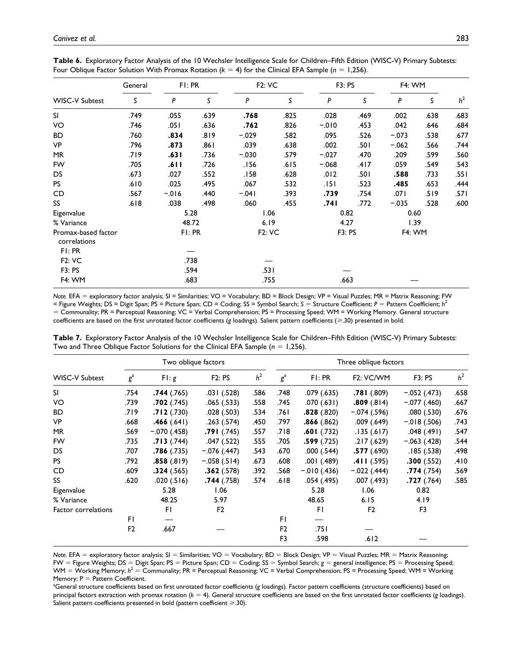|                                     | General | FI: PR   |      | <b>F2: VC</b> |      | F3: PS   |      | F4: WM        |      | h <sup>2</sup> |
|-------------------------------------|---------|----------|------|---------------|------|----------|------|---------------|------|----------------|
| <b>WISC-V Subtest</b>               | S       | P        | S    | P             | S    | P        | S    | P             | S    |                |
| <b>SI</b>                           | .749    | .055     | .639 | .768          | .825 | .028     | .469 | .002          | .638 | .683           |
| VO                                  | .746    | .051     | .636 | .762          | .826 | $-0.010$ | .453 | .042          | .646 | .684           |
| <b>BD</b>                           | .760    | .834     | .819 | $-.029$       | .582 | .095     | .526 | $-.073$       | .538 | .677           |
| VP                                  | .796    | .873     | .861 | .039          | .638 | .002     | .501 | $-.062$       | .566 | .744           |
| <b>MR</b>                           | .719    | .631     | .736 | $-.030$       | .579 | $-.027$  | .470 | .209          | .599 | .560           |
| FW                                  | .705    | .611     | .726 | .156          | .615 | $-.068$  | .417 | .059          | .549 | .543           |
| <b>DS</b>                           | .673    | .027     | .552 | .158          | .628 | .012     | .501 | .588          | .733 | .551           |
| <b>PS</b>                           | .610    | .025     | .495 | .067          | .532 | .151     | .523 | .485          | .653 | .444           |
| CD                                  | .567    | $-0.016$ | .440 | $-.041$       | .393 | .739     | .754 | .071          | .519 | .571           |
| SS                                  | .618    | .038     | .498 | .060          | .455 | .741     | .772 | $-.035$       | .528 | .600           |
| Eigenvalue                          |         |          | 5.28 | 1.06          |      | 0.82     |      | 0.60          |      |                |
| % Variance                          |         | 48.72    |      | 6.19          |      | 4.27     |      | 1.39          |      |                |
| Promax-based factor<br>correlations |         | FI: PR   |      | <b>F2: VC</b> |      | F3: PS   |      | <b>F4: WM</b> |      |                |
| FI:PR                               |         |          |      |               |      |          |      |               |      |                |
| <b>F2: VC</b>                       |         |          | .738 |               |      |          |      |               |      |                |
| <b>F3: PS</b>                       |         |          | .594 | .531          |      |          |      |               |      |                |
| F4: WM                              |         | .683     |      | .755          |      | .663     |      |               |      |                |

**Table 6.** Exploratory Factor Analysis of the 10 Wechsler Intelligence Scale for Children–Fifth Edition (WISC-V) Primary Subtests: Four Oblique Factor Solution With Promax Rotation (*k* = 4) for the Clinical EFA Sample (*n* = 1,256).

*Note.* EFA = exploratory factor analysis; SI = Similarities; VO = Vocabulary; BD = Block Design; VP = Visual Puzzles; MR = Matrix Reasoning; FW = Figure Weights; DS = Digit Span; PS = Picture Span; CD = Coding; SS = Symbol Search; *S* = Structure Coefficient; *P* = Pattern Coefficient; *h*<sup>2</sup> = Communality; PR = Perceptual Reasoning; VC = Verbal Comprehension; PS = Processing Speed; WM = Working Memory. General structure coefficients are based on the first unrotated factor coefficients (*g* loadings). Salient pattern coefficients (⩾.30) presented in bold.

| Table 7. Exploratory Factor Analysis of the 10 Wechsler Intelligence Scale for Children-Fifth Edition (WISC-V) Primary Subtests: |  |
|----------------------------------------------------------------------------------------------------------------------------------|--|
| Two and Three Oblique Factor Solutions for the Clinical EFA Sample ( $n = 1,256$ ).                                              |  |

|                       |                |               | Two oblique factors |                | Three oblique factors |                 |                        |                |                |  |  |  |
|-----------------------|----------------|---------------|---------------------|----------------|-----------------------|-----------------|------------------------|----------------|----------------|--|--|--|
| <b>WISC-V Subtest</b> | $g^{\rm a}$    | F1:g          | F2: PS              | h <sup>2</sup> | $g^{\rm a}$           | FI: PR          | F <sub>2</sub> : VC/WM | <b>F3: PS</b>  | h <sup>2</sup> |  |  |  |
| <b>SI</b>             | .754           | .744(.765)    | .031(.528)          | .586           | .748                  | .079 (.635)     | .781(.809)             | $-.052(.473)$  | .658           |  |  |  |
| VO                    | .739           | .702(.745)    | .065(.533)          | .558           | .745                  | .070 (.631)     | .809(.814)             | $-.077(.460)$  | .667           |  |  |  |
| <b>BD</b>             | .719           | .712(.730)    | .028(.503)          | .534           | ا 76.                 | .828(.820)      | $-.074(.596)$          | .080(.530)     | .676           |  |  |  |
| <b>VP</b>             | .668           | .466(.641)    | .263(.574)          | .450           | .797                  | .866(.862)      | .009(.649)             | $-.018(.506)$  | .743           |  |  |  |
| <b>MR</b>             | .569           | $-.070(.458)$ | .791(.745)          | .557           | 718.                  | $.601$ $(.732)$ | .135(.617)             | .048(.491)     | .547           |  |  |  |
| <b>FW</b>             | .735           | .713(.744)    | .047(.522)          | .555           | .705                  | .599(.725)      | .217(.629)             | $-.063(.428)$  | .544           |  |  |  |
| DS.                   | .707           | .786(.735)    | $-.076(.447)$       | .543           | .670                  | .000(.544)      | .577(.690)             | .185(.538)     | .498           |  |  |  |
| <b>PS</b>             | .792           | .858(.819)    | $-.058(.514)$       | .673           | .608                  | .001 (.489)     | .411(.595)             | .300(.552)     | .410           |  |  |  |
| CD.                   | .609           | .324(.565)    | .362(.578)          | .392           | .568                  | $-.010(.436)$   | $-.022(.444)$          | .774(.754)     | .569           |  |  |  |
| SS                    | .620           | .020(.516)    | .744(.758)          | .574           | .618                  | .054 (.495)     | .007 (.493)            | .727(.764)     | .585           |  |  |  |
| Eigenvalue            |                | 5.28          | 1.06                |                |                       | 5.28            | 1.06                   | 0.82           |                |  |  |  |
| % Variance            |                | 48.25         | 5.97                |                |                       | 48.65           | 6.15                   | 4.19           |                |  |  |  |
| Factor correlations   |                | FI.           | F <sub>2</sub>      |                |                       | FI.             | F2                     | F <sub>3</sub> |                |  |  |  |
|                       | FΙ             |               |                     |                | FI.                   |                 |                        |                |                |  |  |  |
|                       | F <sub>2</sub> | .667          |                     |                | F <sub>2</sub>        | .751            |                        |                |                |  |  |  |
|                       |                |               |                     |                | F <sub>3</sub>        | .598            | .612                   |                |                |  |  |  |

*Note.* EFA = exploratory factor analysis; SI = Similarities; VO = Vocabulary; BD = Block Design; VP = Visual Puzzles; MR = Matrix Reasoning; FW = Figure Weights; DS = Digit Span; PS = Picture Span; CD = Coding; SS = Symbol Search; *g* = general intelligence; PS = Processing Speed; WM = Working Memory;  $h^2$  = Communality; PR = Perceptual Reasoning; VC = Verbal Comprehension; PS = Processing Speed; WM = Working Memory;  $P =$  Pattern Coefficient.

General structure coefficients based on first unrotated factor coefficients (*g* loadings). Factor pattern coefficients (structure coefficients) based on principal factors extraction with promax rotation (*k* = 4). General structure coefficients are based on the first unrotated factor coefficients (*g* loadings). Salient pattern coefficients presented in bold (pattern coefficient  $\geq$ .30).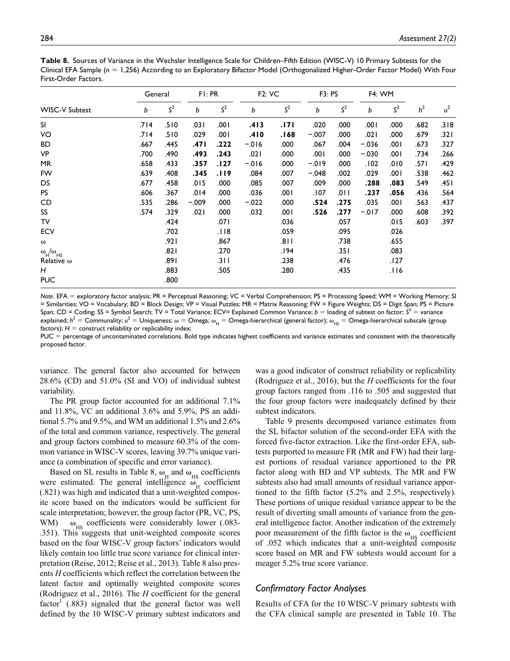| Table 8. Sources of Variance in the Wechsler Intelligence Scale for Children–Fifth Edition (WISC-V) 10 Primary Subtests for the     |
|-------------------------------------------------------------------------------------------------------------------------------------|
| Clinical EFA Sample ( $n = 1,256$ ) According to an Exploratory Bifactor Model (Orthogonalized Higher-Order Factor Model) With Four |
| First-Order Factors.                                                                                                                |

|                                            |      | General        |         | FI: PR         | <b>F2: VC</b> |                | <b>F3: PS</b> |                | <b>F4: WM</b> |                |                |       |
|--------------------------------------------|------|----------------|---------|----------------|---------------|----------------|---------------|----------------|---------------|----------------|----------------|-------|
| <b>WISC-V Subtest</b>                      | b    | S <sup>2</sup> | b       | S <sup>2</sup> | b             | S <sup>2</sup> | b             | S <sup>2</sup> | b             | S <sup>2</sup> | h <sup>2</sup> | $u^2$ |
| SI                                         | .714 | .510           | .031    | .001           | .413          | .171           | .020          | .000           | 00۱.          | .000           | .682           | .318  |
| VO                                         | .714 | .510           | .029    | .001           | .410          | .168           | $-.007$       | .000           | .021          | .000           | .679           | .321  |
| <b>BD</b>                                  | .667 | .445           | .471    | .222           | $-0.06$       | .000           | .067          | .004           | $-.036$       | .001           | .673           | .327  |
| VP                                         | .700 | .490           | .493    | .243           | .021          | .000           | .001          | .000           | $-.030$       | .001           | .734           | .266  |
| MR                                         | .658 | .433           | .357    | .127           | $-0.06$       | .000           | $-0.019$      | .000           | .102          | .010           | .57۱           | .429  |
| FW                                         | .639 | .408           | .345    | .119           | .084          | .007           | $-.048$       | .002           | .029          | 100.           | .538           | .462  |
| DS                                         | .677 | .458           | .015    | .000           | .085          | .007           | .009          | .000           | .288          | .083           | .549           | .451  |
| PS                                         | .606 | .367           | .014    | .000           | .036          | .001           | .107          | .011           | .237          | .056           | .436           | .564  |
| CD                                         | .535 | .286           | $-.009$ | .000           | $-.022$       | .000           | .524          | .275           | .035          | 100.           | .563           | .437  |
| SS                                         | .574 | .329           | .021    | .000           | .032          | 00۱.           | .526          | .277           | $-.017$       | .000           | .608           | .392  |
| TV                                         |      | .424           |         | .071           |               | .036           |               | .057           |               | .015           | .603           | .397  |
| <b>ECV</b>                                 |      | .702           |         | .118           |               | .059           |               | .095           |               | .026           |                |       |
| $\omega$                                   |      | .921           |         | .867           |               | .811           |               | .738           |               | .655           |                |       |
| $\omega_{\rm H}^{\rm A} / \omega_{\rm HS}$ |      | .82۱           |         | .270           |               | 194.           |               | .351           |               | .083           |                |       |
| Relative $\omega$                          |      | .891           |         | .311           |               | .238           |               | .476           |               | .127           |                |       |
| Н                                          |      | .883           |         | .505           |               | .280           |               | .435           |               | 116.           |                |       |
| <b>PUC</b>                                 |      | .800           |         |                |               |                |               |                |               |                |                |       |

*Note*. EFA = exploratory factor analysis; PR = Perceptual Reasoning; VC = Verbal Comprehension; PS = Processing Speed; WM = Working Memory; SI = Similarities; VO = Vocabulary; BD = Block Design; VP = Visual Puzzles; MR = Matrix Reasoning; FW = Figure Weights; DS = Digit Span; PS = Picture Span; CD = Coding; SS = Symbol Search; TV = Total Variance; ECV= Explained Common Variance; *b* = loading of subtest on factor;  $S^2$  = variance explained;  $h^2$  = Communality;  $u^2$  = Uniqueness;  $\omega$  = Omega;  $\omega_{\rm H}$  = Omega-hierarchical (general factor);  $\omega_{\rm H5}$  = Omega-hierarchical subscale (group factors);  $H =$  construct reliability or replicability index;

PUC = percentage of uncontaminated correlations. Bold type indicates highest coefficients and variance estimates and consistent with the theoretically proposed factor.

variance. The general factor also accounted for between 28.6% (CD) and 51.0% (SI and VO) of individual subtest variability.

The PR group factor accounted for an additional 7.1% and 11.8%, VC an additional 3.6% and 5.9%, PS an additional 5.7% and 9.5%, and WM an additional 1.5% and 2.6% of the total and common variance, respectively. The general and group factors combined to measure 60.3% of the common variance in WISC-V scores, leaving 39.7% unique variance (a combination of specific and error variance).

Based on SL results in Table 8,  $\omega_{\text{H}}$  and  $\omega_{\text{HS}}$  coefficients were estimated. The general intelligence  $\omega_{\text{H}}$  coefficient (.821) was high and indicated that a unit-weighted composite score based on the indicators would be sufficient for scale interpretation; however, the group factor (PR, VC, PS, WM)  $\omega_{HS}$  coefficients were considerably lower (.083-.351). This suggests that unit-weighted composite scores based on the four WISC-V group factors' indicators would likely contain too little true score variance for clinical interpretation (Reise, 2012; Reise et al., 2013). Table 8 also presents *H* coefficients which reflect the correlation between the latent factor and optimally weighted composite scores (Rodriguez et al., 2016). The *H* coefficient for the general  $factor<sup>1</sup>$  (.883) signaled that the general factor was well defined by the 10 WISC-V primary subtest indicators and

was a good indicator of construct reliability or replicability (Rodriguez et al., 2016); but the *H* coefficients for the four group factors ranged from .116 to .505 and suggested that the four group factors were inadequately defined by their subtest indicators.

Table 9 presents decomposed variance estimates from the SL bifactor solution of the second-order EFA with the forced five-factor extraction. Like the first-order EFA, subtests purported to measure FR (MR and FW) had their largest portions of residual variance apportioned to the PR factor along with BD and VP subtests. The MR and FW subtests also had small amounts of residual variance apportioned to the fifth factor (5.2% and 2.5%, respectively). These portions of unique residual variance appear to be the result of diverting small amounts of variance from the general intelligence factor. Another indication of the extremely poor measurement of the fifth factor is the  $\omega_{\text{HS}}$  coefficient of .052 which indicates that a unit-weighted composite score based on MR and FW subtests would account for a meager 5.2% true score variance.

## *Confirmatory Factor Analyses*

Results of CFA for the 10 WISC-V primary subtests with the CFA clinical sample are presented in Table 10. The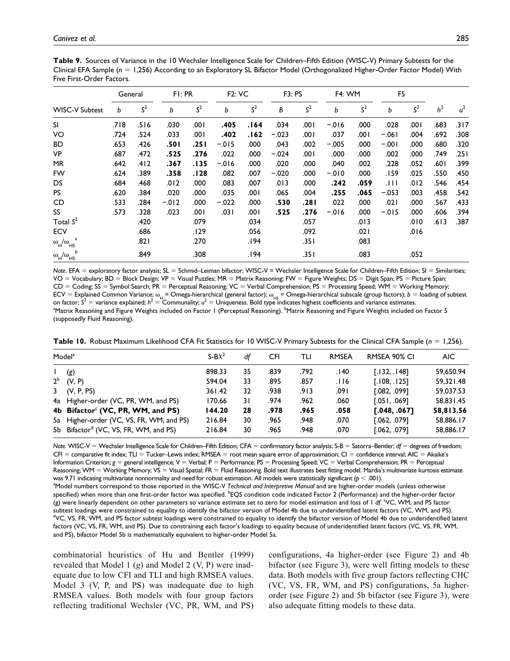**Table 9.** Sources of Variance in the 10 Wechsler Intelligence Scale for Children–Fifth Edition (WISC-V) Primary Subtests for the Clinical EFA Sample (*n* = 1,256) According to an Exploratory SL Bifactor Model (Orthogonalized Higher-Order Factor Model) With Five First-Order Factors.

|                                                                       |      | General        |          | FI: PR         | <b>F2: VC</b> |                | F3: PS  |                | <b>F4: WM</b> |                | F <sub>5</sub> |                |                |       |
|-----------------------------------------------------------------------|------|----------------|----------|----------------|---------------|----------------|---------|----------------|---------------|----------------|----------------|----------------|----------------|-------|
| <b>WISC-V Subtest</b>                                                 | b    | S <sup>2</sup> | b        | S <sup>2</sup> | b             | S <sup>2</sup> | B       | S <sup>2</sup> | b             | S <sup>2</sup> | b              | S <sup>2</sup> | h <sup>2</sup> | $u^2$ |
| <b>SI</b>                                                             | .718 | .516           | .030     | .001           | .405          | .164           | .034    | .001           | $-.016$       | .000           | .028           | .001           | .683           | .317  |
| VO                                                                    | .724 | .524           | .033     | ا 00.          | .402          | .162           | $-.023$ | .001           | .037          | .001           | $-.061$        | .004           | .692           | .308  |
| <b>BD</b>                                                             | .653 | .426           | .501     | .251           | $-0.015$      | .000           | .043    | .002           | $-.005$       | .000           | $-.001$        | .000           | .680           | .320  |
| VP                                                                    | .687 | .472           | .525     | .276           | .022          | .000           | $-.024$ | .001           | .000          | .000           | .002           | .000           | .749           | ا 25. |
| <b>MR</b>                                                             | .642 | .412           | .367     | .135           | $-.016$       | .000           | .020    | .000           | .040          | .002           | .228           | .052           | .601           | .399  |
| FW                                                                    | .624 | .389           | .358     | .128           | .082          | .007           | $-.020$ | .000           | $-.010$       | .000           | 159.           | .025           | .550           | .450  |
| DS                                                                    | .684 | .468           | .012     | .000           | .083          | .007           | .013    | .000           | .242          | .059           | . I I I        | .012           | .546           | .454  |
| <b>PS</b>                                                             | .620 | .384           | .020     | .000           | .035          | ا 00.          | .065    | .004           | .255          | .065           | $-.053$        | .003           | .458           | .542  |
| CD                                                                    | .533 | .284           | $-0.012$ | .000           | $-.022$       | .000           | .530    | ا 28.          | .022          | .000           | .021           | .000           | .567           | .433  |
| SS                                                                    | .573 | .328           | .023     | .001           | .031          | ا 00.          | .525    | .276           | $-0.016$      | .000           | $-0.015$       | .000           | .606           | .394  |
| Total $S^2$                                                           |      | .420           |          | .079           |               | .034           |         | .057           |               | .013           |                | .010           | .613           | .387  |
| <b>ECV</b>                                                            |      | .686           |          | .129           |               | .056           |         | .092           |               | .021           |                | .016           |                |       |
| $\omega_{\rm H}^{\phantom{\rm H}}/\omega_{\rm HS}^{\phantom{\rm H}a}$ |      | ا 82.          |          | .270           |               | .194           |         | .351           |               | .083           |                |                |                |       |
| $\omega_{\rm H}^{\rm A}$ / $\omega_{\rm HS}^{\rm B}$                  |      | .849           |          | .308           |               | .194           |         | .351           |               | .083           |                | .052           |                |       |

*Note*. EFA = exploratory factor analysis; SL = Schmid–Leiman bifactor; WISC-V = Wechsler Intelligence Scale for Children–Fifth Edition; SI = Similarities; VO = Vocabulary; BD = Block Design; VP = Visual Puzzles; MR = Matrix Reasoning; FW = Figure Weights; DS = Digit Span; PS = Picture Span; CD = Coding; SS = Symbol Search; PR = Perceptual Reasoning; VC = Verbal Comprehension; PS = Processing Speed; WM = Working Memory; ECV = Explained Common Variance;  $\omega_{\mu}$  = Omega-hierarchical (general factor);  $\omega_{\mu S}$  = Omega-hierarchical subscale (group factors);  $b =$  loading of subtest<br>on factor; S<sup>2</sup> = variance explained; h<sup>2</sup> = Communality; u Matrix Reasoning and Figure Weights included on Factor 1 (Perceptual Reasoning). <sup>b</sup>Matrix Reasoning and Figure Weights included on Factor 5 (supposedly Fluid Reasoning).

**Table 10.** Robust Maximum Likelihood CFA Fit Statistics for 10 WISC-V Primary Subtests for the Clinical CFA Sample (*n* = 1,256).

|       | Model <sup>a</sup>                                | $S-BX^2$ | df  | <b>CFI</b> | TLI  | <b>RMSEA</b> | RMSEA 90% CI   | AIC.      |
|-------|---------------------------------------------------|----------|-----|------------|------|--------------|----------------|-----------|
|       | (g)                                               | 898.33   | 35  | .839       | .792 | .140         | [.132, .148]   | 59.650.94 |
| $2^b$ | (V, P)                                            | 594.04   | 33  | .895       | .857 | .116         | [.108, .125]   | 59,321.48 |
|       | $3$ (V, P, PS)                                    | 361.42   | 32  | .938       | .913 | .091         | [.082, .099]   | 59,037.53 |
|       | 4a Higher-order (VC, PR, WM, and PS)              | 170.66   | 3 I | .974       | .962 | .060         | [0.051, 0.069] | 58.831.45 |
|       | 4b Bifactor <sup>c</sup> (VC, PR, WM, and PS)     | 144.20   | 28  | .978       | .965 | .058         | [0.048, 0.067] | 58,813.56 |
|       | 5a Higher-order (VC, VS, FR, WM, and PS)          | 216.84   | 30  | .965       | .948 | .070         | [.062, .079]   | 58,886.17 |
|       | 5b Bifactor <sup>d</sup> (VC, VS, FR, WM, and PS) | 216.84   | 30  | .965       | .948 | .070         | [.062, .079]   | 58,886.17 |

*Note.* WISC-V = Wechsler Intelligence Scale for Children–Fifth Edition; CFA = confirmatory factor analysis; S-B = Satorra–Bentler; *df* = degrees of freedom; CFI = comparative fit index; TLI = Tucker–Lewis index; RMSEA = root mean square error of approximation; CI = confidence interval; AIC = Akaike's Information Criterion; *g* = general intelligence; V = Verbal; P = Performance; PS = Processing Speed; VC = Verbal Comprehension; PR = Perceptual Reasoning; WM = Working Memory; VS = Visual Spatial; FR = Fluid Reasoning. Bold text illustrates best fitting model. Mardia's multivariate kurtosis estimate was 9.71 indicating multivariate nonnormality and need for robust estimation. All models were statistically significant (*p* < .001). a Model numbers correspond to those reported in the WISC-V *Technical and Interpretive Manual* and are higher-order models (unless otherwise specified) when more than one first-order factor was specified. <sup>b</sup>EQS condition code indicated Factor 2 (Performance) and the higher-order factor (g) were linearly dependent on other parameters so variance estimate set to zero for model estimation and loss of 1 df. VC, WM, and PS factor subtest loadings were constrained to equality to identify the bifactor version of Model 4b due to underidentified latent factors (VC, WM, and PS). <sup>d</sup>VC, VS, FR, WM, and PS factor subtest loadings were constrained to equality to identify the bifactor version of Model 4b due to underidentified latent factors (VC, VS, FR, WM, and PS). Due to constraining each factor's loadings to equality because of underidentified latent factors (VC, VS, FR, WM, and PS), bifactor Model 5b is mathematically equivalent to higher-order Model 5a.

combinatorial heuristics of Hu and Bentler (1999) revealed that Model 1 (*g*) and Model 2 (V, P) were inadequate due to low CFI and TLI and high RMSEA values. Model 3 (V, P, and PS) was inadequate due to high RMSEA values. Both models with four group factors reflecting traditional Wechsler (VC, PR, WM, and PS)

configurations, 4a higher-order (see Figure 2) and 4b bifactor (see Figure 3), were well fitting models to these data. Both models with five group factors reflecting CHC (VC, VS, FR, WM, and PS) configurations, 5a higherorder (see Figure 2) and 5b bifactor (see Figure 3), were also adequate fitting models to these data.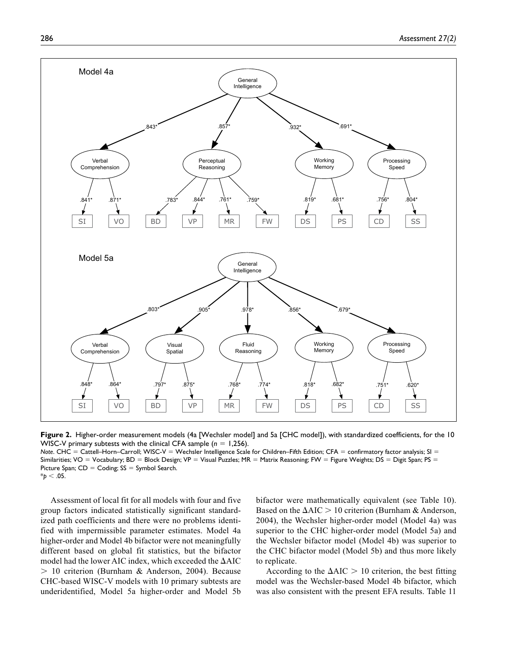

**Figure 2.** Higher-order measurement models (4a [Wechsler model] and 5a [CHC model]), with standardized coefficients, for the 10 WISC-V primary subtests with the clinical CFA sample (*n* = 1,256).

*Note*. CHC = Cattell–Horn–Carroll; WISC-V = Wechsler Intelligence Scale for Children–Fifth Edition; CFA = confirmatory factor analysis; SI = Similarities; VO = Vocabulary; BD = Block Design; VP = Visual Puzzles; MR = Matrix Reasoning; FW = Figure Weights; DS = Digit Span; PS = Picture Span;  $CD =$  Coding;  $SS =$  Symbol Search.  $*_{p}$  < .05.

Assessment of local fit for all models with four and five group factors indicated statistically significant standardized path coefficients and there were no problems identified with impermissible parameter estimates. Model 4a higher-order and Model 4b bifactor were not meaningfully different based on global fit statistics, but the bifactor model had the lower AIC index, which exceeded the ΔAIC > 10 criterion (Burnham & Anderson, 2004). Because CHC-based WISC-V models with 10 primary subtests are underidentified, Model 5a higher-order and Model 5b bifactor were mathematically equivalent (see Table 10). Based on the  $\Delta AIC > 10$  criterion (Burnham & Anderson, 2004), the Wechsler higher-order model (Model 4a) was superior to the CHC higher-order model (Model 5a) and the Wechsler bifactor model (Model 4b) was superior to the CHC bifactor model (Model 5b) and thus more likely to replicate.

According to the  $\Delta AIC > 10$  criterion, the best fitting model was the Wechsler-based Model 4b bifactor, which was also consistent with the present EFA results. Table 11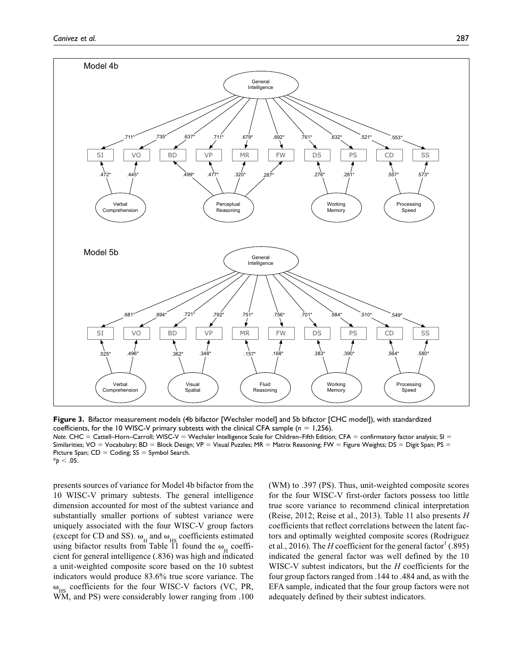

**Figure 3.** Bifactor measurement models (4b bifactor [Wechsler model] and 5b bifactor [CHC model]), with standardized coefficients, for the 10 WISC-V primary subtests with the clinical CFA sample (*n* = 1,256). *Note*. CHC = Cattell–Horn–Carroll; WISC-V = Wechsler Intelligence Scale for Children–Fifth Edition; CFA = confirmatory factor analysis; SI = Similarities; VO = Vocabulary; BD = Block Design; VP = Visual Puzzles; MR = Matrix Reasoning; FW = Figure Weights; DS = Digit Span; PS = Picture Span;  $CD =$  Coding;  $SS =$  Symbol Search.  $*_{p}$  < .05.

presents sources of variance for Model 4b bifactor from the 10 WISC-V primary subtests. The general intelligence dimension accounted for most of the subtest variance and substantially smaller portions of subtest variance were uniquely associated with the four WISC-V group factors (except for CD and SS).  $\omega_H$  and  $\omega_{HS}$  coefficients estimated using bifactor results from Table 11 found the  $\omega_{\text{H}}$  coefficient for general intelligence (.836) was high and indicated a unit-weighted composite score based on the 10 subtest indicators would produce 83.6% true score variance. The  $\omega_{\text{HS}}$  coefficients for the four WISC-V factors (VC, PR, WM, and PS) were considerably lower ranging from .100

(WM) to .397 (PS). Thus, unit-weighted composite scores for the four WISC-V first-order factors possess too little true score variance to recommend clinical interpretation (Reise, 2012; Reise et al., 2013). Table 11 also presents *H* coefficients that reflect correlations between the latent factors and optimally weighted composite scores (Rodriguez et al., 2016). The *H* coefficient for the general factor<sup>1</sup> (.895) indicated the general factor was well defined by the 10 WISC-V subtest indicators, but the *H* coefficients for the four group factors ranged from .144 to .484 and, as with the EFA sample, indicated that the four group factors were not adequately defined by their subtest indicators.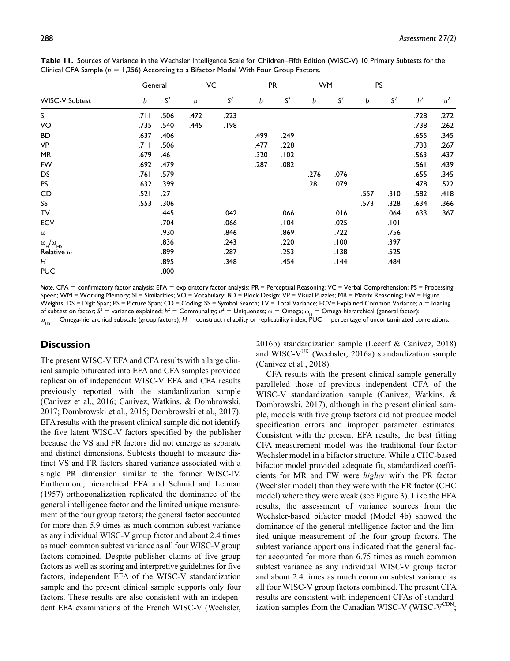| <b>WISC-V Subtest</b>                                    | General |                | VC   |                | <b>PR</b> |                | <b>WM</b> |                | <b>PS</b> |                |                |       |
|----------------------------------------------------------|---------|----------------|------|----------------|-----------|----------------|-----------|----------------|-----------|----------------|----------------|-------|
|                                                          | b       | S <sup>2</sup> | b    | S <sup>2</sup> | b         | S <sup>2</sup> | b         | S <sup>2</sup> | b         | S <sup>2</sup> | h <sup>2</sup> | $u^2$ |
| SI                                                       | ا 71.   | .506           | .472 | .223           |           |                |           |                |           |                | .728           | .272  |
| VO                                                       | .735    | .540           | .445 | .198           |           |                |           |                |           |                | .738           | .262  |
| <b>BD</b>                                                | .637    | .406           |      |                | .499      | .249           |           |                |           |                | .655           | .345  |
| VP                                                       | ا ا7.   | .506           |      |                | .477      | .228           |           |                |           |                | .733           | .267  |
| MR                                                       | .679    | ا 46.          |      |                | .320      | .102           |           |                |           |                | .563           | .437  |
| FW                                                       | .692    | .479           |      |                | .287      | .082           |           |                |           |                | ا 56.          | .439  |
| DS                                                       | ا76.    | .579           |      |                |           |                | .276      | .076           |           |                | .655           | .345  |
| <b>PS</b>                                                | .632    | .399           |      |                |           |                | .281      | .079           |           |                | .478           | .522  |
| CD                                                       | .521    | .271           |      |                |           |                |           |                | .557      | .310           | .582           | .418  |
| SS                                                       | .553    | .306           |      |                |           |                |           |                | .573      | .328           | .634           | .366  |
| TV                                                       |         | .445           |      | .042           |           | .066           |           | .016           |           | .064           | .633           | .367  |
| <b>ECV</b>                                               |         | .704           |      | .066           |           | .104           |           | .025           |           | .101           |                |       |
| $\omega$                                                 |         | .930           |      | .846           |           | .869           |           | .722           |           | .756           |                |       |
| $\omega_{\rm H}^{\phantom{\rm {}}/\omega}$ <sub>HS</sub> |         | .836           |      | .243           |           | .220           |           | .100           |           | .397           |                |       |
| Relative $\omega$                                        |         | .899           |      | .287           |           | .253           |           | .138           |           | .525           |                |       |
| Н                                                        |         | .895           |      | .348           |           | .454           |           | 144.           |           | .484           |                |       |
| <b>PUC</b>                                               |         | .800           |      |                |           |                |           |                |           |                |                |       |

**Table 11.** Sources of Variance in the Wechsler Intelligence Scale for Children–Fifth Edition (WISC-V) 10 Primary Subtests for the Clinical CFA Sample (*n* = 1,256) According to a Bifactor Model With Four Group Factors.

*Note*. CFA = confirmatory factor analysis; EFA = exploratory factor analysis; PR = Perceptual Reasoning; VC = Verbal Comprehension; PS = Processing Speed; WM = Working Memory; SI = Similarities; VO = Vocabulary; BD = Block Design; VP = Visual Puzzles; MR = Matrix Reasoning; FW = Figure Weights; DS = Digit Span; PS = Picture Span; CD = Coding; SS = Symbol Search; TV = Total Variance; ECV= Explained Common Variance; *b* = loading of subtest on factor;  $S^2$  = variance explained;  $h^2$  = Communality;  $u^2$  = Uniqueness;  $\omega$  = Omega;  $\omega$  = Omega-hierarchical (general factor);  $\omega_{_{\rm HS}}$  = Omega-hierarchical subscale (group factors);  ${\cal H}$  = construct reliability or replicability index; PUC = percentage of uncontaminated correlations.

# **Discussion**

The present WISC-V EFA and CFA results with a large clinical sample bifurcated into EFA and CFA samples provided replication of independent WISC-V EFA and CFA results previously reported with the standardization sample (Canivez et al., 2016; Canivez, Watkins, & Dombrowski, 2017; Dombrowski et al., 2015; Dombrowski et al., 2017). EFA results with the present clinical sample did not identify the five latent WISC-V factors specified by the publisher because the VS and FR factors did not emerge as separate and distinct dimensions. Subtests thought to measure distinct VS and FR factors shared variance associated with a single PR dimension similar to the former WISC-IV. Furthermore, hierarchical EFA and Schmid and Leiman (1957) orthogonalization replicated the dominance of the general intelligence factor and the limited unique measurement of the four group factors; the general factor accounted for more than 5.9 times as much common subtest variance as any individual WISC-V group factor and about 2.4 times as much common subtest variance as all four WISC-V group factors combined. Despite publisher claims of five group factors as well as scoring and interpretive guidelines for five factors, independent EFA of the WISC-V standardization sample and the present clinical sample supports only four factors. These results are also consistent with an independent EFA examinations of the French WISC-V (Wechsler,

2016b) standardization sample (Lecerf & Canivez, 2018) and WISC- $V^{UK}$  (Wechsler, 2016a) standardization sample (Canivez et al., 2018).

CFA results with the present clinical sample generally paralleled those of previous independent CFA of the WISC-V standardization sample (Canivez, Watkins, & Dombrowski, 2017), although in the present clinical sample, models with five group factors did not produce model specification errors and improper parameter estimates. Consistent with the present EFA results, the best fitting CFA measurement model was the traditional four-factor Wechsler model in a bifactor structure. While a CHC-based bifactor model provided adequate fit, standardized coefficients for MR and FW were *higher* with the PR factor (Wechsler model) than they were with the FR factor (CHC model) where they were weak (see Figure 3). Like the EFA results, the assessment of variance sources from the Wechsler-based bifactor model (Model 4b) showed the dominance of the general intelligence factor and the limited unique measurement of the four group factors. The subtest variance apportions indicated that the general factor accounted for more than 6.75 times as much common subtest variance as any individual WISC-V group factor and about 2.4 times as much common subtest variance as all four WISC-V group factors combined. The present CFA results are consistent with independent CFAs of standardization samples from the Canadian WISC-V (WISC-VCDN;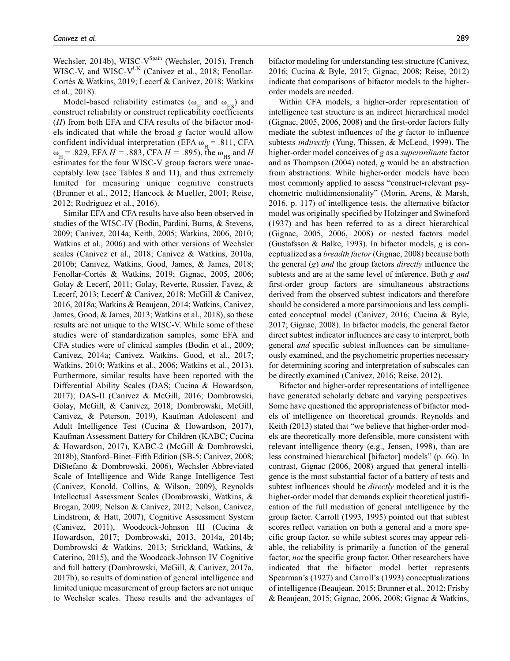Wechsler, 2014b), WISC- $V^{\text{Spin}}$  (Wechsler, 2015), French WISC-V, and WISC-V<sup>UK</sup> (Canivez et al., 2018; Fenollar-Cortés & Watkins, 2019; Lecerf & Canivez, 2018; Watkins et al., 2018).

Model-based reliability estimates ( $\omega_H$  and  $\omega_{\text{HS}}$ ) and construct reliability or construct replicability coefficients (*H*) from both EFA and CFA results of the bifactor models indicated that while the broad *g* factor would allow confident individual interpretation (EFA  $\omega_{\text{H}}$  = .811, CFA  $\omega_{\text{H}}$  = .829, EFA *H* = .883, CFA *H* = .895), the  $\omega_{\text{HS}}$  and *H* estimates for the four WISC-V group factors were unacceptably low (see Tables 8 and 11), and thus extremely limited for measuring unique cognitive constructs (Brunner et al., 2012; Hancock & Mueller, 2001; Reise, 2012; Rodriguez et al., 2016).

Similar EFA and CFA results have also been observed in studies of the WISC-IV (Bodin, Pardini, Burns, & Stevens, 2009; Canivez, 2014a; Keith, 2005; Watkins, 2006, 2010; Watkins et al., 2006) and with other versions of Wechsler scales (Canivez et al., 2018; Canivez & Watkins, 2010a, 2010b; Canivez, Watkins, Good, James, & James, 2018; Fenollar-Cortés & Watkins, 2019; Gignac, 2005, 2006; Golay & Lecerf, 2011; Golay, Reverte, Rossier, Favez, & Lecerf, 2013; Lecerf & Canivez, 2018; McGill & Canivez, 2016, 2018a; Watkins & Beaujean, 2014; Watkins, Canivez, James, Good, & James, 2013; Watkins et al., 2018), so these results are not unique to the WISC-V. While some of these studies were of standardization samples, some EFA and CFA studies were of clinical samples (Bodin et al., 2009; Canivez, 2014a; Canivez, Watkins, Good, et al., 2017; Watkins, 2010; Watkins et al., 2006; Watkins et al., 2013). Furthermore, similar results have been reported with the Differential Ability Scales (DAS; Cucina & Howardson, 2017); DAS-II (Canivez & McGill, 2016; Dombrowski, Golay, McGill, & Canivez, 2018; Dombrowski, McGill, Canivez, & Peterson, 2019), Kaufman Adolescent and Adult Intelligence Test (Cucina & Howardson, 2017), Kaufman Assessment Battery for Children (KABC; Cucina & Howardson, 2017), KABC-2 (McGill & Dombrowski, 2018b), Stanford–Binet–Fifth Edition (SB-5; Canivez, 2008; DiStefano & Dombrowski, 2006), Wechsler Abbreviated Scale of Intelligence and Wide Range Intelligence Test (Canivez, Konold, Collins, & Wilson, 2009), Reynolds Intellectual Assessment Scales (Dombrowski, Watkins, & Brogan, 2009; Nelson & Canivez, 2012; Nelson, Canivez, Lindstrom, & Hatt, 2007), Cognitive Assessment System (Canivez, 2011), Woodcock-Johnson III (Cucina & Howardson, 2017; Dombrowski, 2013, 2014a, 2014b; Dombrowski & Watkins, 2013; Strickland, Watkins, & Caterino, 2015), and the Woodcock-Johnson IV Cognitive and full battery (Dombrowski, McGill, & Canivez, 2017a, 2017b), so results of domination of general intelligence and limited unique measurement of group factors are not unique to Wechsler scales. These results and the advantages of bifactor modeling for understanding test structure (Canivez, 2016; Cucina & Byle, 2017; Gignac, 2008; Reise, 2012) indicate that comparisons of bifactor models to the higherorder models are needed.

Within CFA models, a higher-order representation of intelligence test structure is an indirect hierarchical model (Gignac, 2005, 2006, 2008) and the first-order factors fully mediate the subtest influences of the *g* factor to influence subtests *indirectly* (Yung, Thissen, & McLeod, 1999). The higher-order model conceives of *g* as a *superordinate* factor and as Thompson (2004) noted, *g* would be an abstraction from abstractions. While higher-order models have been most commonly applied to assess "construct-relevant psychometric multidimensionality" (Morin, Arens, & Marsh, 2016, p. 117) of intelligence tests, the alternative bifactor model was originally specified by Holzinger and Swineford (1937) and has been referred to as a direct hierarchical (Gignac, 2005, 2006, 2008) or nested factors model (Gustafsson & Balke, 1993). In bifactor models, *g* is conceptualized as a *breadth factor* (Gignac, 2008) because both the general (*g*) *and* the group factors *directly* influence the subtests and are at the same level of inference. Both *g and* first-order group factors are simultaneous abstractions derived from the observed subtest indicators and therefore should be considered a more parsimonious and less complicated conceptual model (Canivez, 2016; Cucina & Byle, 2017; Gignac, 2008). In bifactor models, the general factor direct subtest indicator influences are easy to interpret, both general *and* specific subtest influences can be simultaneously examined, and the psychometric properties necessary for determining scoring and interpretation of subscales can be directly examined (Canivez, 2016; Reise, 2012).

Bifactor and higher-order representations of intelligence have generated scholarly debate and varying perspectives. Some have questioned the appropriateness of bifactor models of intelligence on theoretical grounds. Reynolds and Keith (2013) stated that "we believe that higher-order models are theoretically more defensible, more consistent with relevant intelligence theory (e.g., Jensen, 1998), than are less constrained hierarchical [bifactor] models" (p. 66). In contrast, Gignac (2006, 2008) argued that general intelligence is the most substantial factor of a battery of tests and subtest influences should be *directly* modeled and it is the higher-order model that demands explicit theoretical justification of the full mediation of general intelligence by the group factor. Carroll (1993, 1995) pointed out that subtest scores reflect variation on both a general and a more specific group factor, so while subtest scores may appear reliable, the reliability is primarily a function of the general factor, *not* the specific group factor. Other researchers have indicated that the bifactor model better represents Spearman's (1927) and Carroll's (1993) conceptualizations of intelligence (Beaujean, 2015; Brunner et al., 2012; Frisby & Beaujean, 2015; Gignac, 2006, 2008; Gignac & Watkins,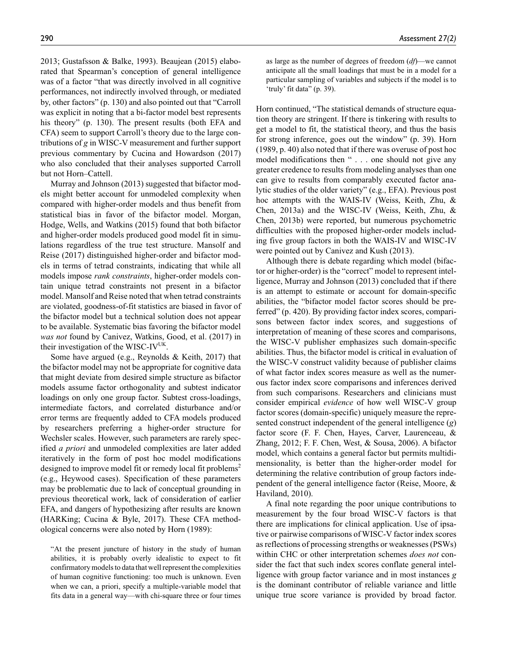2013; Gustafsson & Balke, 1993). Beaujean (2015) elaborated that Spearman's conception of general intelligence was of a factor "that was directly involved in all cognitive performances, not indirectly involved through, or mediated by, other factors" (p. 130) and also pointed out that "Carroll was explicit in noting that a bi-factor model best represents his theory" (p. 130). The present results (both EFA and CFA) seem to support Carroll's theory due to the large contributions of *g* in WISC-V measurement and further support previous commentary by Cucina and Howardson (2017) who also concluded that their analyses supported Carroll but not Horn–Cattell.

Murray and Johnson (2013) suggested that bifactor models might better account for unmodeled complexity when compared with higher-order models and thus benefit from statistical bias in favor of the bifactor model. Morgan, Hodge, Wells, and Watkins (2015) found that both bifactor and higher-order models produced good model fit in simulations regardless of the true test structure. Mansolf and Reise (2017) distinguished higher-order and bifactor models in terms of tetrad constraints, indicating that while all models impose *rank constraints*, higher-order models contain unique tetrad constraints not present in a bifactor model. Mansolf and Reise noted that when tetrad constraints are violated, goodness-of-fit statistics are biased in favor of the bifactor model but a technical solution does not appear to be available. Systematic bias favoring the bifactor model *was not* found by Canivez, Watkins, Good, et al. (2017) in their investigation of the WISC-IV<sup>UK</sup>.

Some have argued (e.g., Reynolds & Keith, 2017) that the bifactor model may not be appropriate for cognitive data that might deviate from desired simple structure as bifactor models assume factor orthogonality and subtest indicator loadings on only one group factor. Subtest cross-loadings, intermediate factors, and correlated disturbance and/or error terms are frequently added to CFA models produced by researchers preferring a higher-order structure for Wechsler scales. However, such parameters are rarely specified *a priori* and unmodeled complexities are later added iteratively in the form of post hoc model modifications designed to improve model fit or remedy local fit problems<sup>2</sup> (e.g., Heywood cases). Specification of these parameters may be problematic due to lack of conceptual grounding in previous theoretical work, lack of consideration of earlier EFA, and dangers of hypothesizing after results are known (HARKing; Cucina & Byle, 2017). These CFA methodological concerns were also noted by Horn (1989):

"At the present juncture of history in the study of human abilities, it is probably overly idealistic to expect to fit confirmatory models to data that well represent the complexities of human cognitive functioning: too much is unknown. Even when we can, a priori, specify a multiple-variable model that fits data in a general way—with chi-square three or four times as large as the number of degrees of freedom (*df*)—we cannot anticipate all the small loadings that must be in a model for a particular sampling of variables and subjects if the model is to 'truly' fit data" (p. 39).

Horn continued, "The statistical demands of structure equation theory are stringent. If there is tinkering with results to get a model to fit, the statistical theory, and thus the basis for strong inference, goes out the window" (p. 39). Horn (1989, p. 40) also noted that if there was overuse of post hoc model modifications then " . . . one should not give any greater credence to results from modeling analyses than one can give to results from comparably executed factor analytic studies of the older variety" (e.g., EFA). Previous post hoc attempts with the WAIS-IV (Weiss, Keith, Zhu, & Chen, 2013a) and the WISC-IV (Weiss, Keith, Zhu, & Chen, 2013b) were reported, but numerous psychometric difficulties with the proposed higher-order models including five group factors in both the WAIS-IV and WISC-IV were pointed out by Canivez and Kush (2013).

Although there is debate regarding which model (bifactor or higher-order) is the "correct" model to represent intelligence, Murray and Johnson (2013) concluded that if there is an attempt to estimate or account for domain-specific abilities, the "bifactor model factor scores should be preferred" (p. 420). By providing factor index scores, comparisons between factor index scores, and suggestions of interpretation of meaning of these scores and comparisons, the WISC-V publisher emphasizes such domain-specific abilities. Thus, the bifactor model is critical in evaluation of the WISC-V construct validity because of publisher claims of what factor index scores measure as well as the numerous factor index score comparisons and inferences derived from such comparisons. Researchers and clinicians must consider empirical *evidence* of how well WISC-V group factor scores (domain-specific) uniquely measure the represented construct independent of the general intelligence (*g*) factor score (F. F. Chen, Hayes, Carver, Laurenceau, & Zhang, 2012; F. F. Chen, West, & Sousa, 2006). A bifactor model, which contains a general factor but permits multidimensionality, is better than the higher-order model for determining the relative contribution of group factors independent of the general intelligence factor (Reise, Moore, & Haviland, 2010).

A final note regarding the poor unique contributions to measurement by the four broad WISC-V factors is that there are implications for clinical application. Use of ipsative or pairwise comparisons of WISC-V factor index scores as reflections of processing strengths or weaknesses (PSWs) within CHC or other interpretation schemes *does not* consider the fact that such index scores conflate general intelligence with group factor variance and in most instances *g* is the dominant contributor of reliable variance and little unique true score variance is provided by broad factor.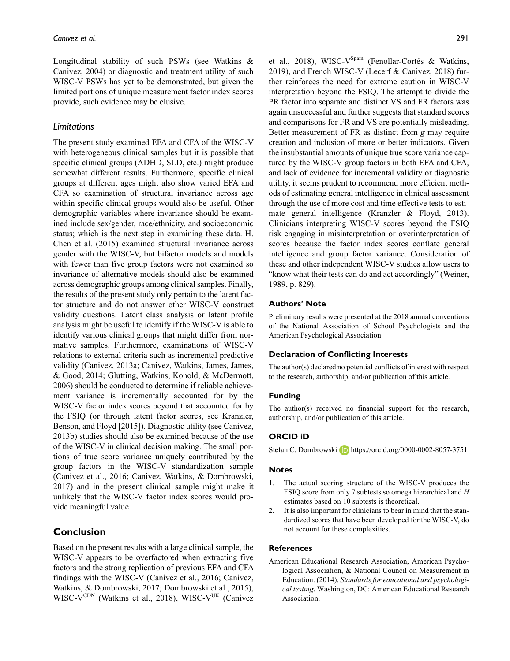Longitudinal stability of such PSWs (see Watkins & Canivez, 2004) or diagnostic and treatment utility of such WISC-V PSWs has yet to be demonstrated, but given the limited portions of unique measurement factor index scores provide, such evidence may be elusive.

#### *Limitations*

The present study examined EFA and CFA of the WISC-V with heterogeneous clinical samples but it is possible that specific clinical groups (ADHD, SLD, etc.) might produce somewhat different results. Furthermore, specific clinical groups at different ages might also show varied EFA and CFA so examination of structural invariance across age within specific clinical groups would also be useful. Other demographic variables where invariance should be examined include sex/gender, race/ethnicity, and socioeconomic status; which is the next step in examining these data. H. Chen et al. (2015) examined structural invariance across gender with the WISC-V, but bifactor models and models with fewer than five group factors were not examined so invariance of alternative models should also be examined across demographic groups among clinical samples. Finally, the results of the present study only pertain to the latent factor structure and do not answer other WISC-V construct validity questions. Latent class analysis or latent profile analysis might be useful to identify if the WISC-V is able to identify various clinical groups that might differ from normative samples. Furthermore, examinations of WISC-V relations to external criteria such as incremental predictive validity (Canivez, 2013a; Canivez, Watkins, James, James, & Good, 2014; Glutting, Watkins, Konold, & McDermott, 2006) should be conducted to determine if reliable achievement variance is incrementally accounted for by the WISC-V factor index scores beyond that accounted for by the FSIQ (or through latent factor scores, see Kranzler, Benson, and Floyd [2015]). Diagnostic utility (see Canivez, 2013b) studies should also be examined because of the use of the WISC-V in clinical decision making. The small portions of true score variance uniquely contributed by the group factors in the WISC-V standardization sample (Canivez et al., 2016; Canivez, Watkins, & Dombrowski, 2017) and in the present clinical sample might make it unlikely that the WISC-V factor index scores would provide meaningful value.

# **Conclusion**

Based on the present results with a large clinical sample, the WISC-V appears to be overfactored when extracting five factors and the strong replication of previous EFA and CFA findings with the WISC-V (Canivez et al., 2016; Canivez, Watkins, & Dombrowski, 2017; Dombrowski et al., 2015), WISC-V<sup>CDN</sup> (Watkins et al., 2018), WISC-V<sup>UK</sup> (Canivez et al., 2018), WISC-V<sup>Spain</sup> (Fenollar-Cortés & Watkins, 2019), and French WISC-V (Lecerf & Canivez, 2018) further reinforces the need for extreme caution in WISC-V interpretation beyond the FSIQ. The attempt to divide the PR factor into separate and distinct VS and FR factors was again unsuccessful and further suggests that standard scores and comparisons for FR and VS are potentially misleading. Better measurement of FR as distinct from *g* may require creation and inclusion of more or better indicators. Given the insubstantial amounts of unique true score variance captured by the WISC-V group factors in both EFA and CFA, and lack of evidence for incremental validity or diagnostic utility, it seems prudent to recommend more efficient methods of estimating general intelligence in clinical assessment through the use of more cost and time effective tests to estimate general intelligence (Kranzler & Floyd, 2013). Clinicians interpreting WISC-V scores beyond the FSIQ risk engaging in misinterpretation or overinterpretation of scores because the factor index scores conflate general intelligence and group factor variance. Consideration of these and other independent WISC-V studies allow users to "know what their tests can do and act accordingly" (Weiner, 1989, p. 829).

#### **Authors' Note**

Preliminary results were presented at the 2018 annual conventions of the National Association of School Psychologists and the American Psychological Association.

#### **Declaration of Conflicting Interests**

The author(s) declared no potential conflicts of interest with respect to the research, authorship, and/or publication of this article.

#### **Funding**

The author(s) received no financial support for the research, authorship, and/or publication of this article.

#### **ORCID iD**

Stefan C. Dombrowski **iD** <https://orcid.org/0000-0002-8057-3751>

#### **Notes**

- 1. The actual scoring structure of the WISC-V produces the FSIQ score from only 7 subtests so omega hierarchical and *H* estimates based on 10 subtests is theoretical.
- 2. It is also important for clinicians to bear in mind that the standardized scores that have been developed for the WISC-V, do not account for these complexities.

## **References**

American Educational Research Association, American Psychological Association, & National Council on Measurement in Education. (2014). *Standards for educational and psychological testing*. Washington, DC: American Educational Research Association.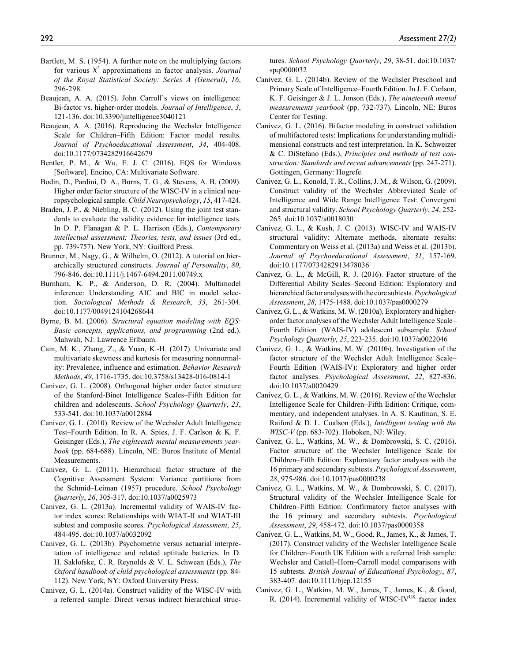- Bartlett, M. S. (1954). A further note on the multiplying factors for various  $X^2$  approximations in factor analysis. *Journal of the Royal Statistical Society: Series A (General)*, *16*, 296-298.
- Beaujean, A. A. (2015). John Carroll's views on intelligence: Bi-factor vs. higher-order models. *Journal of Intelligence*, *3*, 121-136. doi:10.3390/jintelligence3040121
- Beaujean, A. A. (2016). Reproducing the Wechsler Intelligence Scale for Children–Fifth Edition: Factor model results. *Journal of Psychoeducational Assessment*, *34*, 404-408. doi:10.1177/0734282916642679
- Bentler, P. M., & Wu, E. J. C. (2016). EQS for Windows [Software]. Encino, CA: Multivariate Software.
- Bodin, D., Pardini, D. A., Burns, T. G., & Stevens, A. B. (2009). Higher order factor structure of the WISC-IV in a clinical neuropsychological sample. *Child Neuropsychology*, *15*, 417-424.
- Braden, J. P., & Niebling, B. C. (2012). Using the joint test standards to evaluate the validity evidence for intelligence tests. In D. P. Flanagan & P. L. Harrison (Eds.), *Contemporary intellectual assessment: Theories, tests, and issues* (3rd ed., pp. 739-757). New York, NY: Guilford Press.
- Brunner, M., Nagy, G., & Wilhelm, O. (2012). A tutorial on hierarchically structured constructs. *Journal of Personality*, *80*, 796-846. doi:10.1111/j.1467-6494.2011.00749.x
- Burnham, K. P., & Anderson, D. R. (2004). Multimodel inference: Understanding AIC and BIC in model selection. *Sociological Methods & Research*, *33*, 261-304. doi:10.1177/0049124104268644
- Byrne, B. M. (2006). *Structural equation modeling with EQS: Basic concepts, applications, and programming* (2nd ed.). Mahwah, NJ: Lawrence Erlbaum.
- Cain, M. K., Zhang, Z., & Yuan, K.-H. (2017). Univariate and multivariate skewness and kurtosis for measuring nonnormality: Prevalence, influence and estimation. *Behavior Research Methods*, *49*, 1716-1735. doi:10.3758/s13428-016-0814-1
- Canivez, G. L. (2008). Orthogonal higher order factor structure of the Stanford-Binet Intelligence Scales–Fifth Edition for children and adolescents. *School Psychology Quarterly*, *23*, 533-541. doi:10.1037/a0012884
- Canivez, G. L. (2010). Review of the Wechsler Adult Intelligence Test–Fourth Edition. In R. A. Spies, J. F. Carlson & K. F. Geisinger (Eds.), *The eighteenth mental measurements yearbook* (pp. 684-688). Lincoln, NE: Buros Institute of Mental Measurements.
- Canivez, G. L. (2011). Hierarchical factor structure of the Cognitive Assessment System: Variance partitions from the Schmid–Leiman (1957) procedure. *School Psychology Quarterly*, *26*, 305-317. doi:10.1037/a0025973
- Canivez, G. L. (2013a). Incremental validity of WAIS-IV factor index scores: Relationships with WIAT-II and WIAT-III subtest and composite scores. *Psychological Assessment*, *25*, 484-495. doi:10.1037/a0032092
- Canivez, G. L. (2013b). Psychometric versus actuarial interpretation of intelligence and related aptitude batteries. In D. H. Saklofske, C. R. Reynolds & V. L. Schwean (Eds.), *The Oxford handbook of child psychological assessments* (pp. 84- 112). New York, NY: Oxford University Press.
- Canivez, G. L. (2014a). Construct validity of the WISC-IV with a referred sample: Direct versus indirect hierarchical struc-

tures. *School Psychology Quarterly*, *29*, 38-51. doi:10.1037/ spq0000032

- Canivez, G. L. (2014b). Review of the Wechsler Preschool and Primary Scale of Intelligence–Fourth Edition. In J. F. Carlson, K. F. Geisinger & J. L. Jonson (Eds.), *The nineteenth mental measurements yearbook* (pp. 732-737). Lincoln, NE: Buros Center for Testing.
- Canivez, G. L. (2016). Bifactor modeling in construct validation of multifactored tests: Implications for understanding multidimensional constructs and test interpretation. In K. Schweizer & C. DiStefano (Eds.), *Principles and methods of test construction: Standards and recent advancements* (pp. 247-271). Gottingen, Germany: Hogrefe.
- Canivez, G. L., Konold, T. R., Collins, J. M., & Wilson, G. (2009). Construct validity of the Wechsler Abbreviated Scale of Intelligence and Wide Range Intelligence Test: Convergent and structural validity. *School Psychology Quarterly*, *24*, 252- 265. doi:10.1037/a0018030
- Canivez, G. L., & Kush, J. C. (2013). WISC-IV and WAIS-IV structural validity: Alternate methods, alternate results: Commentary on Weiss et al. (2013a) and Weiss et al. (2013b). *Journal of Psychoeducational Assessment*, *31*, 157-169. doi:10.1177/0734282913478036
- Canivez, G. L., & McGill, R. J. (2016). Factor structure of the Differential Ability Scales–Second Edition: Exploratory and hierarchical factor analyses with the core subtests. *Psychological Assessment*, *28*, 1475-1488. doi:10.1037/pas0000279
- Canivez, G. L., & Watkins, M. W. (2010a). Exploratory and higherorder factor analyses of the Wechsler Adult Intelligence Scale– Fourth Edition (WAIS-IV) adolescent subsample. *School Psychology Quarterly*, *25*, 223-235. doi:10.1037/a0022046
- Canivez, G. L., & Watkins, M. W. (2010b). Investigation of the factor structure of the Wechsler Adult Intelligence Scale– Fourth Edition (WAIS-IV): Exploratory and higher order factor analyses. *Psychological Assessment*, *22*, 827-836. doi:10.1037/a0020429
- Canivez, G. L., & Watkins, M. W. (2016). Review of the Wechsler Intelligence Scale for Children–Fifth Edition: Critique, commentary, and independent analyses. In A. S. Kaufman, S. E. Raiford & D. L. Coalson (Eds.), *Intelligent testing with the WISC-V* (pp. 683-702). Hoboken, NJ: Wiley.
- Canivez, G. L., Watkins, M. W., & Dombrowski, S. C. (2016). Factor structure of the Wechsler Intelligence Scale for Children–Fifth Edition: Exploratory factor analyses with the 16 primary and secondary subtests. *Psychological Assessment*, *28*, 975-986. doi:10.1037/pas0000238
- Canivez, G. L., Watkins, M. W., & Dombrowski, S. C. (2017). Structural validity of the Wechsler Intelligence Scale for Children–Fifth Edition: Confirmatory factor analyses with the 16 primary and secondary subtests. *Psychological Assessment*, *29*, 458-472. doi:10.1037/pas0000358
- Canivez, G. L., Watkins, M. W., Good, R., James, K., & James, T. (2017). Construct validity of the Wechsler Intelligence Scale for Children–Fourth UK Edition with a referred Irish sample: Wechsler and Cattell–Horn–Carroll model comparisons with 15 subtests. *British Journal of Educational Psychology*, *87*, 383-407. doi:10.1111/bjep.12155
- Canivez, G. L., Watkins, M. W., James, T., James, K., & Good, R. (2014). Incremental validity of WISC-IV<sup>UK</sup> factor index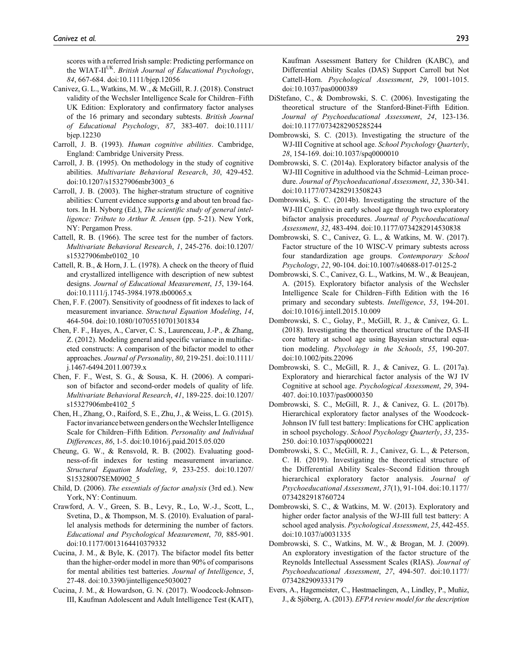scores with a referred Irish sample: Predicting performance on the WIAT-II<sup>UK</sup>. *British Journal of Educational Psychology*, *84*, 667-684. doi:10.1111/bjep.12056

- Canivez, G. L., Watkins, M. W., & McGill, R. J. (2018). Construct validity of the Wechsler Intelligence Scale for Children–Fifth UK Edition: Exploratory and confirmatory factor analyses of the 16 primary and secondary subtests. *British Journal of Educational Psychology*, *87*, 383-407. doi:10.1111/ bjep.12230
- Carroll, J. B. (1993). *Human cognitive abilities*. Cambridge, England: Cambridge University Press.
- Carroll, J. B. (1995). On methodology in the study of cognitive abilities. *Multivariate Behavioral Research*, *30*, 429-452. doi:10.1207/s15327906mbr3003\_6
- Carroll, J. B. (2003). The higher-stratum structure of cognitive abilities: Current evidence supports *g* and about ten broad factors. In H. Nyborg (Ed.), *The scientific study of general intelligence: Tribute to Arthur R. Jensen* (pp. 5-21). New York, NY: Pergamon Press.
- Cattell, R. B. (1966). The scree test for the number of factors. *Multivariate Behavioral Research*, *1*, 245-276. doi:10.1207/ s15327906mbr0102\_10
- Cattell, R. B., & Horn, J. L. (1978). A check on the theory of fluid and crystallized intelligence with description of new subtest designs. *Journal of Educational Measurement*, *15*, 139-164. doi:10.1111/j.1745-3984.1978.tb00065.x
- Chen, F. F. (2007). Sensitivity of goodness of fit indexes to lack of measurement invariance. *Structural Equation Modeling*, *14*, 464-504. doi:10.1080/10705510701301834
- Chen, F. F., Hayes, A., Carver, C. S., Laurenceau, J.-P., & Zhang, Z. (2012). Modeling general and specific variance in multifaceted constructs: A comparison of the bifactor model to other approaches. *Journal of Personality*, *80*, 219-251. doi:10.1111/ j.1467-6494.2011.00739.x
- Chen, F. F., West, S. G., & Sousa, K. H. (2006). A comparison of bifactor and second-order models of quality of life. *Multivariate Behavioral Research*, *41*, 189-225. doi:10.1207/ s15327906mbr4102\_5
- Chen, H., Zhang, O., Raiford, S. E., Zhu, J., & Weiss, L. G. (2015). Factor invariance between genders on the Wechsler Intelligence Scale for Children–Fifth Edition. *Personality and Individual Differences*, *86*, 1-5. doi:10.1016/j.paid.2015.05.020
- Cheung, G. W., & Rensvold, R. B. (2002). Evaluating goodness-of-fit indexes for testing measurement invariance. *Structural Equation Modeling*, *9*, 233-255. doi:10.1207/ S15328007SEM0902\_5
- Child, D. (2006). *The essentials of factor analysis* (3rd ed.). New York, NY: Continuum.
- Crawford, A. V., Green, S. B., Levy, R., Lo, W.-J., Scott, L., Svetina, D., & Thompson, M. S. (2010). Evaluation of parallel analysis methods for determining the number of factors. *Educational and Psychological Measurement*, *70*, 885-901. doi:10.1177/0013164410379332
- Cucina, J. M., & Byle, K. (2017). The bifactor model fits better than the higher-order model in more than 90% of comparisons for mental abilities test batteries. *Journal of Intelligence*, *5*, 27-48. doi:10.3390/jintelligence5030027
- Cucina, J. M., & Howardson, G. N. (2017). Woodcock-Johnson-III, Kaufman Adolescent and Adult Intelligence Test (KAIT),

Kaufman Assessment Battery for Children (KABC), and Differential Ability Scales (DAS) Support Carroll but Not Cattell-Horn. *Psychological Assessment*, *29*, 1001-1015. doi:10.1037/pas0000389

- DiStefano, C., & Dombrowski, S. C. (2006). Investigating the theoretical structure of the Stanford-Binet-Fifth Edition. *Journal of Psychoeducational Assessment*, *24*, 123-136. doi:10.1177/0734282905285244
- Dombrowski, S. C. (2013). Investigating the structure of the WJ-III Cognitive at school age. *School Psychology Quarterly*, *28*, 154-169. doi:10.1037/spq0000010
- Dombrowski, S. C. (2014a). Exploratory bifactor analysis of the WJ-III Cognitive in adulthood via the Schmid–Leiman procedure. *Journal of Psychoeducational Assessment*, *32*, 330-341. doi:10.1177/0734282913508243
- Dombrowski, S. C. (2014b). Investigating the structure of the WJ-III Cognitive in early school age through two exploratory bifactor analysis procedures. *Journal of Psychoeducational Assessment*, *32*, 483-494. doi:10.1177/0734282914530838
- Dombrowski, S. C., Canivez, G. L., & Watkins, M. W. (2017). Factor structure of the 10 WISC-V primary subtests across four standardization age groups. *Contemporary School Psychology*, *22*, 90-104. doi:10.1007/s40688-017-0125-2
- Dombrowski, S. C., Canivez, G. L., Watkins, M. W., & Beaujean, A. (2015). Exploratory bifactor analysis of the Wechsler Intelligence Scale for Children–Fifth Edition with the 16 primary and secondary subtests. *Intelligence*, *53*, 194-201. doi:10.1016/j.intell.2015.10.009
- Dombrowski, S. C., Golay, P., McGill, R. J., & Canivez, G. L. (2018). Investigating the theoretical structure of the DAS-II core battery at school age using Bayesian structural equation modeling. *Psychology in the Schools*, *55*, 190-207. doi:10.1002/pits.22096
- Dombrowski, S. C., McGill, R. J., & Canivez, G. L. (2017a). Exploratory and hierarchical factor analysis of the WJ IV Cognitive at school age. *Psychological Assessment*, *29*, 394- 407. doi:10.1037/pas0000350
- Dombrowski, S. C., McGill, R. J., & Canivez, G. L. (2017b). Hierarchical exploratory factor analyses of the Woodcock-Johnson IV full test battery: Implications for CHC application in school psychology. *School Psychology Quarterly*, *33*, 235- 250. doi:10.1037/spq0000221
- Dombrowski, S. C., McGill, R. J., Canivez, G. L., & Peterson, C. H. (2019). Investigating the theoretical structure of the Differential Ability Scales–Second Edition through hierarchical exploratory factor analysis. *Journal of Psychoeducational Assessment*, *37*(1), 91-104. doi:10.1177/ 0734282918760724
- Dombrowski, S. C., & Watkins, M. W. (2013). Exploratory and higher order factor analysis of the WJ-III full test battery: A school aged analysis. *Psychological Assessment*, *25*, 442-455. doi:10.1037/a0031335
- Dombrowski, S. C., Watkins, M. W., & Brogan, M. J. (2009). An exploratory investigation of the factor structure of the Reynolds Intellectual Assessment Scales (RIAS). *Journal of Psychoeducational Assessment*, *27*, 494-507. doi:10.1177/ 0734282909333179
- Evers, A., Hagemeister, C., Høstmaelingen, A., Lindley, P., Muñiz, J., & Sjöberg, A. (2013). *EFPA review model for the description*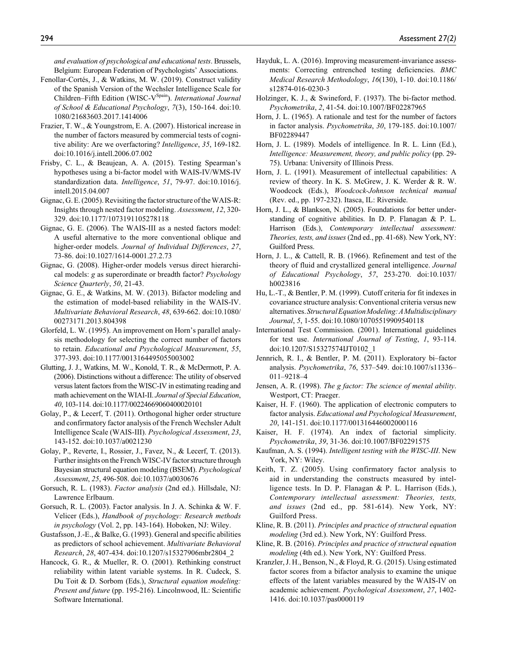*and evaluation of psychological and educational tests*. Brussels, Belgium: European Federation of Psychologists' Associations.

- Fenollar-Cortés, J., & Watkins, M. W. (2019). Construct validity of the Spanish Version of the Wechsler Intelligence Scale for Children–Fifth Edition (WISC-V<sup>Spain</sup>). *International Journal of School & Educational Psychology*, *7*(3), 150-164. doi:10. 1080/21683603.2017.1414006
- Frazier, T. W., & Youngstrom, E. A. (2007). Historical increase in the number of factors measured by commercial tests of cognitive ability: Are we overfactoring? *Intelligence*, *35*, 169-182. doi:10.1016/j.intell.2006.07.002
- Frisby, C. L., & Beaujean, A. A. (2015). Testing Spearman's hypotheses using a bi-factor model with WAIS-IV/WMS-IV standardization data. *Intelligence*, *51*, 79-97. doi:10.1016/j. intell.2015.04.007
- Gignac, G. E. (2005). Revisiting the factor structure of the WAIS-R: Insights through nested factor modeling. *Assessment*, *12*, 320- 329. doi:10.1177/1073191105278118
- Gignac, G. E. (2006). The WAIS-III as a nested factors model: A useful alternative to the more conventional oblique and higher-order models. *Journal of Individual Differences*, *27*, 73-86. doi:10.1027/1614-0001.27.2.73
- Gignac, G. (2008). Higher-order models versus direct hierarchical models: *g* as superordinate or breadth factor? *Psychology Science Quarterly*, *50*, 21-43.
- Gignac, G. E., & Watkins, M. W. (2013). Bifactor modeling and the estimation of model-based reliability in the WAIS-IV. *Multivariate Behavioral Research*, *48*, 639-662. doi:10.1080/ 00273171.2013.804398
- Glorfeld, L. W. (1995). An improvement on Horn's parallel analysis methodology for selecting the correct number of factors to retain. *Educational and Psychological Measurement*, *55*, 377-393. doi:10.1177/0013164495055003002
- Glutting, J. J., Watkins, M. W., Konold, T. R., & McDermott, P. A. (2006). Distinctions without a difference: The utility of observed versus latent factors from the WISC-IV in estimating reading and math achievement on the WIAI-II. *Journal of Special Education*, *40*, 103-114. doi:10.1177/00224669060400020101
- Golay, P., & Lecerf, T. (2011). Orthogonal higher order structure and confirmatory factor analysis of the French Wechsler Adult Intelligence Scale (WAIS-III). *Psychological Assessment*, *23*, 143-152. doi:10.1037/a0021230
- Golay, P., Reverte, I., Rossier, J., Favez, N., & Lecerf, T. (2013). Further insights on the French WISC-IV factor structure through Bayesian structural equation modeling (BSEM). *Psychological Assessment*, *25*, 496-508. doi:10.1037/a0030676
- Gorsuch, R. L. (1983). *Factor analysis* (2nd ed.). Hillsdale, NJ: Lawrence Erlbaum.
- Gorsuch, R. L. (2003). Factor analysis. In J. A. Schinka & W. F. Velicer (Eds.), *Handbook of psychology: Research methods in psychology* (Vol. 2, pp. 143-164). Hoboken, NJ: Wiley.
- Gustafsson, J.-E., & Balke, G. (1993). General and specific abilities as predictors of school achievement. *Multivariate Behavioral Research*, *28*, 407-434. doi:10.1207/s15327906mbr2804\_2
- Hancock, G. R., & Mueller, R. O. (2001). Rethinking construct reliability within latent variable systems. In R. Cudeck, S. Du Toit & D. Sorbom (Eds.), *Structural equation modeling: Present and future* (pp. 195-216). Lincolnwood, IL: Scientific Software International.
- Hayduk, L. A. (2016). Improving measurement-invariance assessments: Correcting entrenched testing deficiencies. *BMC Medical Research Methodology*, *16*(130), 1-10. doi:10.1186/ s12874-016-0230-3
- Holzinger, K. J., & Swineford, F. (1937). The bi-factor method. *Psychometrika*, *2*, 41-54. doi:10.1007/BF02287965
- Horn, J. L. (1965). A rationale and test for the number of factors in factor analysis. *Psychometrika*, *30*, 179-185. doi:10.1007/ BF02289447
- Horn, J. L. (1989). Models of intelligence. In R. L. Linn (Ed.), *Intelligence: Measurement, theory, and public policy* (pp. 29- 75). Urbana: University of Illinois Press.
- Horn, J. L. (1991). Measurement of intellectual capabilities: A review of theory. In K. S. McGrew, J. K. Werder & R. W. Woodcock (Eds.), *Woodcock-Johnson technical manual* (Rev. ed., pp. 197-232). Itasca, IL: Riverside.
- Horn, J. L., & Blankson, N. (2005). Foundations for better understanding of cognitive abilities. In D. P. Flanagan & P. L. Harrison (Eds.), *Contemporary intellectual assessment: Theories, tests, and issues* (2nd ed., pp. 41-68). New York, NY: Guilford Press.
- Horn, J. L., & Cattell, R. B. (1966). Refinement and test of the theory of fluid and crystallized general intelligence. *Journal of Educational Psychology*, *57*, 253-270. doi:10.1037/ h0023816
- Hu, L.-T., & Bentler, P. M. (1999). Cutoff criteria for fit indexes in covariance structure analysis: Conventional criteria versus new alternatives. *Structural Equation Modeling: A Multidisciplinary Journal*, *5*, 1-55. doi:10.1080/10705519909540118
- International Test Commission. (2001). International guidelines for test use. *International Journal of Testing*, *1*, 93-114. doi:10.1207/S15327574IJT0102\_1
- Jennrich, R. I., & Bentler, P. M. (2011). Exploratory bi–factor analysis. *Psychometrika*, *76*, 537–549. doi:10.1007/s11336– 011–9218–4
- Jensen, A. R. (1998). *The g factor: The science of mental ability*. Westport, CT: Praeger.
- Kaiser, H. F. (1960). The application of electronic computers to factor analysis. *Educational and Psychological Measurement*, *20*, 141-151. doi:10.1177/001316446002000116
- Kaiser, H. F. (1974). An index of factorial simplicity. *Psychometrika*, *39*, 31-36. doi:10.1007/BF02291575
- Kaufman, A. S. (1994). *Intelligent testing with the WISC-III*. New York, NY: Wiley.
- Keith, T. Z. (2005). Using confirmatory factor analysis to aid in understanding the constructs measured by intelligence tests. In D. P. Flanagan & P. L. Harrison (Eds.), *Contemporary intellectual assessment: Theories, tests, and issues* (2nd ed., pp. 581-614). New York, NY: Guilford Press.
- Kline, R. B. (2011). *Principles and practice of structural equation modeling* (3rd ed.). New York, NY: Guilford Press.
- Kline, R. B. (2016). *Principles and practice of structural equation modeling* (4th ed.). New York, NY: Guilford Press.
- Kranzler, J. H., Benson, N., & Floyd, R. G. (2015). Using estimated factor scores from a bifactor analysis to examine the unique effects of the latent variables measured by the WAIS-IV on academic achievement. *Psychological Assessment*, *27*, 1402- 1416. doi:10.1037/pas0000119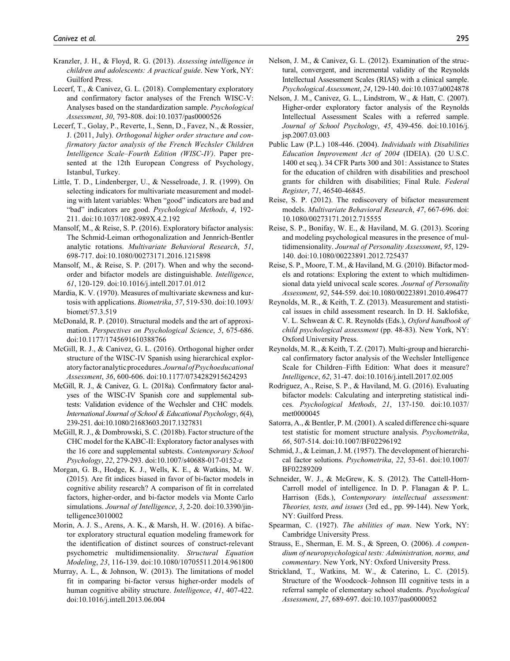- Kranzler, J. H., & Floyd, R. G. (2013). *Assessing intelligence in children and adolescents: A practical guide*. New York, NY: Guilford Press.
- Lecerf, T., & Canivez, G. L. (2018). Complementary exploratory and confirmatory factor analyses of the French WISC-V: Analyses based on the standardization sample. *Psychological Assessment*, *30*, 793-808. doi:10.1037/pas0000526
- Lecerf, T., Golay, P., Reverte, I., Senn, D., Favez, N., & Rossier, J. (2011, July). *Orthogonal higher order structure and confirmatory factor analysis of the French Wechsler Children Intelligence Scale–Fourth Edition (WISC-IV)*. Paper presented at the 12th European Congress of Psychology, Istanbul, Turkey.
- Little, T. D., Lindenberger, U., & Nesselroade, J. R. (1999). On selecting indicators for multivariate measurement and modeling with latent variables: When "good" indicators are bad and "bad" indicators are good. *Psychological Methods*, *4*, 192- 211. doi:10.1037/1082-989X.4.2.192
- Mansolf, M., & Reise, S. P. (2016). Exploratory bifactor analysis: The Schmid-Leiman orthogonalization and Jennrich-Bentler analytic rotations. *Multivariate Behavioral Research*, *51*, 698-717. doi:10.1080/00273171.2016.1215898
- Mansolf, M., & Reise, S. P. (2017). When and why the secondorder and bifactor models are distinguishable. *Intelligence*, *61*, 120-129. doi:10.1016/j.intell.2017.01.012
- Mardia, K. V. (1970). Measures of multivariate skewness and kurtosis with applications. *Biometrika*, *57*, 519-530. doi:10.1093/ biomet/57.3.519
- McDonald, R. P. (2010). Structural models and the art of approximation. *Perspectives on Psychological Science*, *5*, 675-686. doi:10.1177/1745691610388766
- McGill, R. J., & Canivez, G. L. (2016). Orthogonal higher order structure of the WISC-IV Spanish using hierarchical exploratory factor analytic procedures. *Journal of Psychoeducational Assessment*, *36*, 600-606. doi:10.1177/0734282915624293
- McGill, R. J., & Canivez, G. L. (2018a). Confirmatory factor analyses of the WISC-IV Spanish core and supplemental subtests: Validation evidence of the Wechsler and CHC models. *International Journal of School & Educational Psychology*, *6*(4), 239-251. doi:10.1080/21683603.2017.1327831
- McGill, R. J., & Dombrowski, S. C. (2018b). Factor structure of the CHC model for the KABC-II: Exploratory factor analyses with the 16 core and supplemental subtests. *Contemporary School Psychology*, *22*, 279-293. doi:10.1007/s40688-017-0152-z
- Morgan, G. B., Hodge, K. J., Wells, K. E., & Watkins, M. W. (2015). Are fit indices biased in favor of bi-factor models in cognitive ability research? A comparison of fit in correlated factors, higher-order, and bi-factor models via Monte Carlo simulations. *Journal of Intelligence*, *3*, 2-20. doi:10.3390/jintelligence3010002
- Morin, A. J. S., Arens, A. K., & Marsh, H. W. (2016). A bifactor exploratory structural equation modeling framework for the identification of distinct sources of construct-relevant psychometric multidimensionality. *Structural Equation Modeling*, *23*, 116-139. doi:10.1080/10705511.2014.961800
- Murray, A. L., & Johnson, W. (2013). The limitations of model fit in comparing bi-factor versus higher-order models of human cognitive ability structure. *Intelligence*, *41*, 407-422. doi:10.1016/j.intell.2013.06.004
- Nelson, J. M., & Canivez, G. L. (2012). Examination of the structural, convergent, and incremental validity of the Reynolds Intellectual Assessment Scales (RIAS) with a clinical sample. *Psychological Assessment*, *24*, 129-140. doi:10.1037/a0024878
- Nelson, J. M., Canivez, G. L., Lindstrom, W., & Hatt, C. (2007). Higher-order exploratory factor analysis of the Reynolds Intellectual Assessment Scales with a referred sample. *Journal of School Psychology*, *45*, 439-456. doi:10.1016/j. jsp.2007.03.003
- Public Law (P.L.) 108-446. (2004). *Individuals with Disabilities Education Improvement Act of 2004* (IDEIA). (20 U.S.C. 1400 et seq.). 34 CFR Parts 300 and 301: Assistance to States for the education of children with disabilities and preschool grants for children with disabilities; Final Rule. *Federal Register*, *71*, 46540-46845.
- Reise, S. P. (2012). The rediscovery of bifactor measurement models. *Multivariate Behavioral Research*, *47*, 667-696. doi: 10.1080/00273171.2012.715555
- Reise, S. P., Bonifay, W. E., & Haviland, M. G. (2013). Scoring and modeling psychological measures in the presence of multidimensionality. *Journal of Personality Assessment*, *95*, 129- 140. doi:10.1080/00223891.2012.725437
- Reise, S. P., Moore, T. M., & Haviland, M. G. (2010). Bifactor models and rotations: Exploring the extent to which multidimensional data yield univocal scale scores. *Journal of Personality Assessment*, *92*, 544-559. doi:10.1080/00223891.2010.496477
- Reynolds, M. R., & Keith, T. Z. (2013). Measurement and statistical issues in child assessment research. In D. H. Saklofske, V. L. Schwean & C. R. Reynolds (Eds.), *Oxford handbook of child psychological assessment* (pp. 48-83). New York, NY: Oxford University Press.
- Reynolds, M. R., & Keith, T. Z. (2017). Multi-group and hierarchical confirmatory factor analysis of the Wechsler Intelligence Scale for Children–Fifth Edition: What does it measure? *Intelligence*, *62*, 31-47. doi:10.1016/j.intell.2017.02.005
- Rodriguez, A., Reise, S. P., & Haviland, M. G. (2016). Evaluating bifactor models: Calculating and interpreting statistical indices. *Psychological Methods*, *21*, 137-150. doi:10.1037/ met0000045
- Satorra, A., & Bentler, P. M. (2001). A scaled difference chi-square test statistic for moment structure analysis. *Psychometrika*, *66*, 507-514. doi:10.1007/BF02296192
- Schmid, J., & Leiman, J. M. (1957). The development of hierarchical factor solutions. *Psychometrika*, *22*, 53-61. doi:10.1007/ BF02289209
- Schneider, W. J., & McGrew, K. S. (2012). The Cattell-Horn-Carroll model of intelligence. In D. P. Flanagan & P. L. Harrison (Eds.), *Contemporary intellectual assessment: Theories, tests, and issues* (3rd ed., pp. 99-144). New York, NY: Guilford Press.
- Spearman, C. (1927). *The abilities of man*. New York, NY: Cambridge University Press.
- Strauss, E., Sherman, E. M. S., & Spreen, O. (2006). *A compendium of neuropsychological tests: Administration, norms, and commentary*. New York, NY: Oxford University Press.
- Strickland, T., Watkins, M. W., & Caterino, L. C. (2015). Structure of the Woodcock–Johnson III cognitive tests in a referral sample of elementary school students. *Psychological Assessment*, *27*, 689-697. doi:10.1037/pas0000052